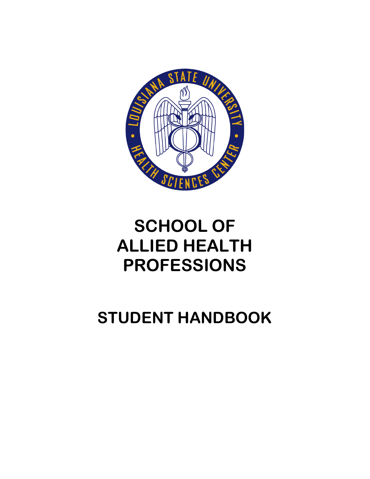

# **SCHOOL OF ALLIED HEALTH PROFESSIONS**

# **STUDENT HANDBOOK**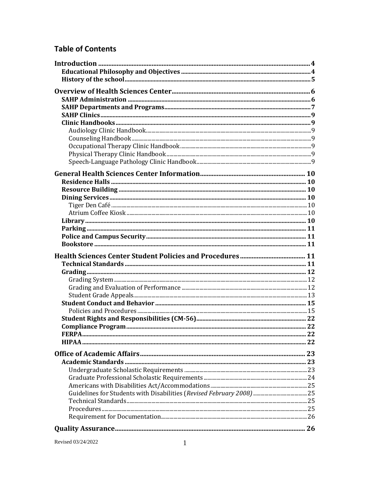# **Table of Contents**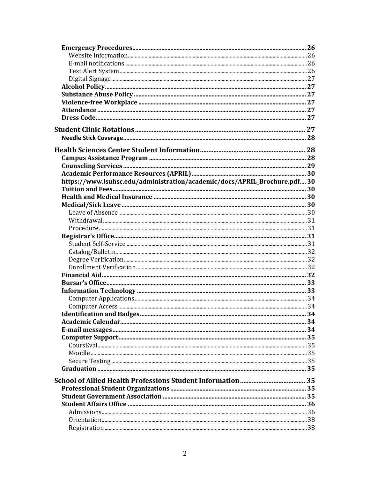| https://www.lsuhsc.edu/administration/academic/docs/APRIL_Brochure.pdf 30 |  |
|---------------------------------------------------------------------------|--|
|                                                                           |  |
|                                                                           |  |
|                                                                           |  |
|                                                                           |  |
|                                                                           |  |
|                                                                           |  |
|                                                                           |  |
|                                                                           |  |
|                                                                           |  |
|                                                                           |  |
|                                                                           |  |
|                                                                           |  |
|                                                                           |  |
|                                                                           |  |
|                                                                           |  |
|                                                                           |  |
|                                                                           |  |
|                                                                           |  |
|                                                                           |  |
|                                                                           |  |
|                                                                           |  |
|                                                                           |  |
|                                                                           |  |
|                                                                           |  |
|                                                                           |  |
|                                                                           |  |
|                                                                           |  |
|                                                                           |  |
|                                                                           |  |
|                                                                           |  |
|                                                                           |  |
|                                                                           |  |
|                                                                           |  |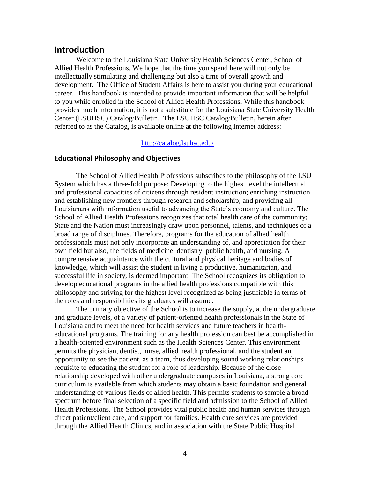# <span id="page-4-0"></span>**Introduction**

Welcome to the Louisiana State University Health Sciences Center, School of Allied Health Professions. We hope that the time you spend here will not only be intellectually stimulating and challenging but also a time of overall growth and development. The Office of Student Affairs is here to assist you during your educational career. This handbook is intended to provide important information that will be helpful to you while enrolled in the School of Allied Health Professions. While this handbook provides much information, it is not a substitute for the Louisiana State University Health Center (LSUHSC) Catalog/Bulletin. The LSUHSC Catalog/Bulletin, herein after referred to as the Catalog, is available online at the following internet address:

#### <http://catalog.lsuhsc.edu/>

#### <span id="page-4-1"></span>**Educational Philosophy and Objectives**

The School of Allied Health Professions subscribes to the philosophy of the LSU System which has a three-fold purpose: Developing to the highest level the intellectual and professional capacities of citizens through resident instruction; enriching instruction and establishing new frontiers through research and scholarship; and providing all Louisianans with information useful to advancing the State's economy and culture. The School of Allied Health Professions recognizes that total health care of the community; State and the Nation must increasingly draw upon personnel, talents, and techniques of a broad range of disciplines. Therefore, programs for the education of allied health professionals must not only incorporate an understanding of, and appreciation for their own field but also, the fields of medicine, dentistry, public health, and nursing. A comprehensive acquaintance with the cultural and physical heritage and bodies of knowledge, which will assist the student in living a productive, humanitarian, and successful life in society, is deemed important. The School recognizes its obligation to develop educational programs in the allied health professions compatible with this philosophy and striving for the highest level recognized as being justifiable in terms of the roles and responsibilities its graduates will assume.

The primary objective of the School is to increase the supply, at the undergraduate and graduate levels, of a variety of patient-oriented health professionals in the State of Louisiana and to meet the need for health services and future teachers in healtheducational programs. The training for any health profession can best be accomplished in a health-oriented environment such as the Health Sciences Center. This environment permits the physician, dentist, nurse, allied health professional, and the student an opportunity to see the patient, as a team, thus developing sound working relationships requisite to educating the student for a role of leadership. Because of the close relationship developed with other undergraduate campuses in Louisiana, a strong core curriculum is available from which students may obtain a basic foundation and general understanding of various fields of allied health. This permits students to sample a broad spectrum before final selection of a specific field and admission to the School of Allied Health Professions. The School provides vital public health and human services through direct patient/client care, and support for families. Health care services are provided through the Allied Health Clinics, and in association with the State Public Hospital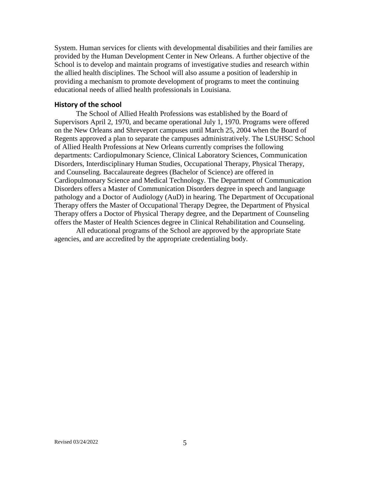System. Human services for clients with developmental disabilities and their families are provided by the Human Development Center in New Orleans. A further objective of the School is to develop and maintain programs of investigative studies and research within the allied health disciplines. The School will also assume a position of leadership in providing a mechanism to promote development of programs to meet the continuing educational needs of allied health professionals in Louisiana.

#### <span id="page-5-0"></span>**History of the school**

The School of Allied Health Professions was established by the Board of Supervisors April 2, 1970, and became operational July 1, 1970. Programs were offered on the New Orleans and Shreveport campuses until March 25, 2004 when the Board of Regents approved a plan to separate the campuses administratively. The LSUHSC School of Allied Health Professions at New Orleans currently comprises the following departments: Cardiopulmonary Science, Clinical Laboratory Sciences, Communication Disorders, Interdisciplinary Human Studies, Occupational Therapy, Physical Therapy, and Counseling. Baccalaureate degrees (Bachelor of Science) are offered in Cardiopulmonary Science and Medical Technology. The Department of Communication Disorders offers a Master of Communication Disorders degree in speech and language pathology and a Doctor of Audiology (AuD) in hearing. The Department of Occupational Therapy offers the Master of Occupational Therapy Degree, the Department of Physical Therapy offers a Doctor of Physical Therapy degree, and the Department of Counseling offers the Master of Health Sciences degree in Clinical Rehabilitation and Counseling.

All educational programs of the School are approved by the appropriate State agencies, and are accredited by the appropriate credentialing body.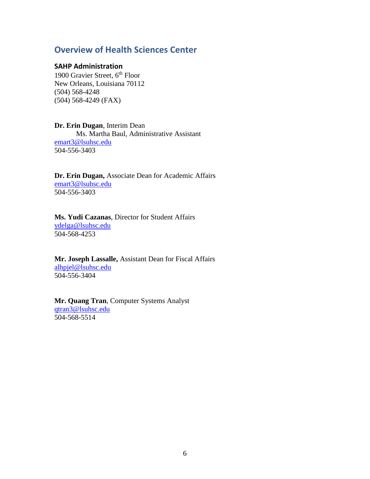# <span id="page-6-0"></span>**Overview of Health Sciences Center**

#### <span id="page-6-1"></span>**SAHP Administration**

1900 Gravier Street, 6<sup>th</sup> Floor New Orleans, Louisiana 70112 (504) 568-4248 (504) 568-4249 (FAX)

# **Dr. Erin Dugan**, Interim Dean

Ms. Martha Baul, Administrative Assistant [emart3@lsuhsc.edu](mailto:emart3@lsuhsc.edu) 504-556-3403

#### **Dr. Erin Dugan,** Associate Dean for Academic Affairs [emart3@lsuhsc.edu](mailto:emart3@lsuhsc.edu) 504-556-3403

**Ms. Yudi Cazanas**, Director for Student Affairs [ydelga@lsuhsc.edu](mailto:ydelga@lsuhsc.edu) 504-568-4253

**Mr. Joseph Lassalle,** Assistant Dean for Fiscal Affairs [alhpjel@lsuhsc.edu](mailto:alhpjel@lsuhsc.edu) 504-556-3404

# **Mr. Quang Tran**, Computer Systems Analyst [qtran3@lsuhsc.edu](mailto:shubba@lsuhsc.edu) 504-568-5514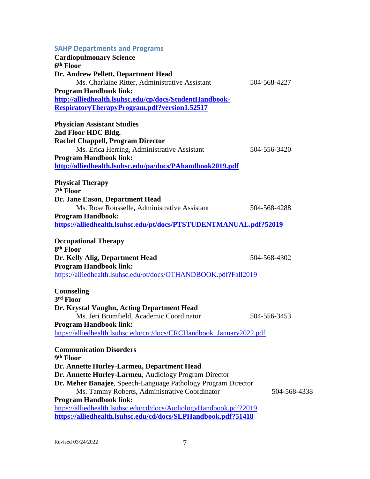<span id="page-7-0"></span>

| <b>SAHP Departments and Programs</b><br><b>Cardiopulmonary Science</b><br>6 <sup>th</sup> Floor                                                                                                                                                                                                                                                       |              |
|-------------------------------------------------------------------------------------------------------------------------------------------------------------------------------------------------------------------------------------------------------------------------------------------------------------------------------------------------------|--------------|
| Dr. Andrew Pellett, Department Head<br>Ms. Charlaine Ritter, Administrative Assistant<br><b>Program Handbook link:</b><br>http://alliedhealth.lsuhsc.edu/cp/docs/StudentHandbook-<br>RespiratoryTherapyProgram.pdf?version1.52517                                                                                                                     | 504-568-4227 |
| <b>Physician Assistant Studies</b><br>2nd Floor HDC Bldg.<br><b>Rachel Chappell, Program Director</b><br>Ms. Erica Herring, Administrative Assistant<br><b>Program Handbook link:</b><br>http://alliedhealth.lsuhsc.edu/pa/docs/PAhandbook2019.pdf                                                                                                    | 504-556-3420 |
| <b>Physical Therapy</b>                                                                                                                                                                                                                                                                                                                               |              |
| 7 <sup>th</sup> Floor<br>Dr. Jane Eason, Department Head<br>Ms. Rose Rousselle, Administrative Assistant<br><b>Program Handbook:</b><br>https://alliedhealth.lsuhsc.edu/pt/docs/PTSTUDENTMANUAL.pdf?52019                                                                                                                                             | 504-568-4288 |
| <b>Occupational Therapy</b>                                                                                                                                                                                                                                                                                                                           |              |
| 8 <sup>th</sup> Floor<br>Dr. Kelly Alig, Department Head<br><b>Program Handbook link:</b><br>https://alliedhealth.lsuhsc.edu/ot/docs/OTHANDBOOK.pdf?Fall2019                                                                                                                                                                                          | 504-568-4302 |
| <b>Counseling</b><br>3 <sup>rd</sup> Floor                                                                                                                                                                                                                                                                                                            |              |
| Dr. Krystal Vaughn, Acting Department Head<br>Ms. Jeri Brumfield, Academic Coordinator<br><b>Program Handbook link:</b><br>https://alliedhealth.lsuhsc.edu/crc/docs/CRCHandbook_January2022.pdf                                                                                                                                                       | 504-556-3453 |
| <b>Communication Disorders</b>                                                                                                                                                                                                                                                                                                                        |              |
| 9 <sup>th</sup> Floor<br>Dr. Annette Hurley-Larmeu, Department Head<br>Dr. Annette Hurley-Larmeu, Audiology Program Director<br>Dr. Meher Banajee, Speech-Language Pathology Program Director<br>Ms. Tammy Roberts, Administrative Coordinator<br><b>Program Handbook link:</b><br>https://alliedhealth.lsuhsc.edu/cd/docs/AudiologyHandbook.pdf?2019 | 504-568-4338 |
| https://alliedhealth.lsuhsc.edu/cd/docs/SLPHandbook.pdf?51418                                                                                                                                                                                                                                                                                         |              |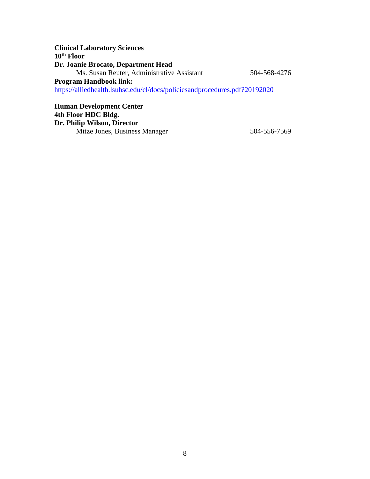| <b>Clinical Laboratory Sciences</b>                                        |              |
|----------------------------------------------------------------------------|--------------|
| 10 <sup>th</sup> Floor                                                     |              |
| Dr. Joanie Brocato, Department Head                                        |              |
| Ms. Susan Reuter, Administrative Assistant                                 | 504-568-4276 |
| <b>Program Handbook link:</b>                                              |              |
| https://alliedhealth.lsuhsc.edu/cl/docs/policiesandprocedures.pdf?20192020 |              |
|                                                                            |              |

**Human Development Center 4th Floor HDC Bldg. Dr. Philip Wilson, Director** Mitze Jones, Business Manager 504-556-7569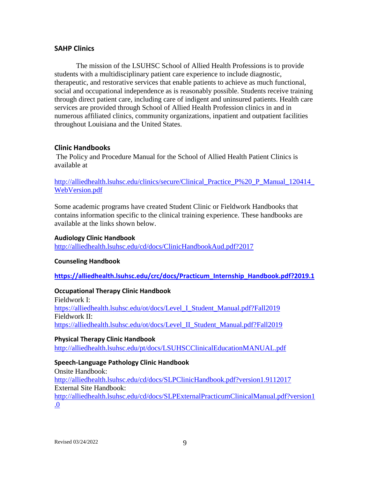#### <span id="page-9-0"></span>**SAHP Clinics**

The mission of the LSUHSC School of Allied Health Professions is to provide students with a multidisciplinary patient care experience to include diagnostic, therapeutic, and restorative services that enable patients to achieve as much functional, social and occupational independence as is reasonably possible. Students receive training through direct patient care, including care of indigent and uninsured patients. Health care services are provided through School of Allied Health Profession clinics in and in numerous affiliated clinics, community organizations, inpatient and outpatient facilities throughout Louisiana and the United States.

### <span id="page-9-1"></span>**Clinic Handbooks**

The Policy and Procedure Manual for the School of Allied Health Patient Clinics is available at

http://alliedhealth.lsuhsc.edu/clinics/secure/Clinical Practice P%20 P Manual 120414 [WebVersion.pdf](http://alliedhealth.lsuhsc.edu/clinics/secure/Clinical_Practice_P%20_P_Manual_120414_WebVersion.pdf)

Some academic programs have created Student Clinic or Fieldwork Handbooks that contains information specific to the clinical training experience. These handbooks are available at the links shown below.

#### <span id="page-9-2"></span>**Audiology Clinic Handbook**

<http://alliedhealth.lsuhsc.edu/cd/docs/ClinicHandbookAud.pdf?2017>

### <span id="page-9-3"></span>**Counseling Handbook**

**[https://alliedhealth.lsuhsc.edu/crc/docs/Practicum\\_Internship\\_Handbook.pdf?2019.1](https://alliedhealth.lsuhsc.edu/crc/docs/Practicum_Internship_Handbook.pdf?2019.1)**

# <span id="page-9-4"></span>**Occupational Therapy Clinic Handbook**

Fieldwork I: [https://alliedhealth.lsuhsc.edu/ot/docs/Level\\_I\\_Student\\_Manual.pdf?Fall2019](https://alliedhealth.lsuhsc.edu/ot/docs/Level_I_Student_Manual.pdf?Fall2019) Fieldwork II: [https://alliedhealth.lsuhsc.edu/ot/docs/Level\\_II\\_Student\\_Manual.pdf?Fall2019](https://alliedhealth.lsuhsc.edu/ot/docs/Level_II_Student_Manual.pdf?Fall2019)

#### <span id="page-9-5"></span>**Physical Therapy Clinic Handbook**

<http://alliedhealth.lsuhsc.edu/pt/docs/LSUHSCClinicalEducationMANUAL.pdf>

### <span id="page-9-6"></span>**Speech-Language Pathology Clinic Handbook**

Onsite Handbook: <http://alliedhealth.lsuhsc.edu/cd/docs/SLPClinicHandbook.pdf?version1.9112017> External Site Handbook: [http://alliedhealth.lsuhsc.edu/cd/docs/SLPExternalPracticumClinicalManual.pdf?version1](http://alliedhealth.lsuhsc.edu/cd/docs/SLPExternalPracticumClinicalManual.pdf?version1.0) [.0](http://alliedhealth.lsuhsc.edu/cd/docs/SLPExternalPracticumClinicalManual.pdf?version1.0)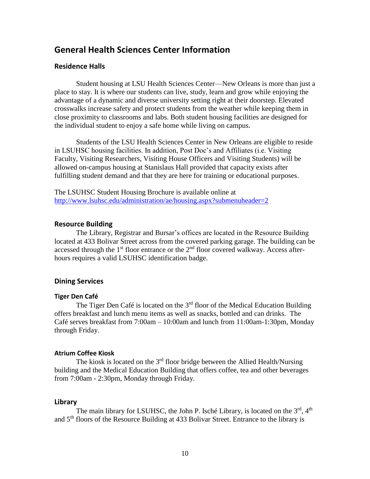# <span id="page-10-0"></span>**General Health Sciences Center Information**

#### <span id="page-10-1"></span>**Residence Halls**

Student housing at LSU Health Sciences Center—New Orleans is more than just a place to stay. It is where our students can live, study, learn and grow while enjoying the advantage of a dynamic and diverse university setting right at their doorstep. Elevated crosswalks increase safety and protect students from the weather while keeping them in close proximity to classrooms and labs. Both student housing facilities are designed for the individual student to enjoy a safe home while living on campus.

Students of the LSU Health Sciences Center in New Orleans are eligible to reside in LSUHSC housing facilities. In addition, Post Doc's and Affiliates (i.e. Visiting Faculty, Visiting Researchers, Visiting House Officers and Visiting Students) will be allowed on-campus housing at Stanislaus Hall provided that capacity exists after fulfilling student demand and that they are here for training or educational purposes.

The LSUHSC Student Housing Brochure is available online at <http://www.lsuhsc.edu/administration/ae/housing.aspx?submenuheader=2>

#### <span id="page-10-2"></span>**Resource Building**

The Library, Registrar and Bursar's offices are located in the Resource Building located at 433 Bolivar Street across from the covered parking garage. The building can be accessed through the  $1<sup>st</sup>$  floor entrance or the  $2<sup>nd</sup>$  floor covered walkway. Access afterhours requires a valid LSUHSC identification badge.

#### <span id="page-10-3"></span>**Dining Services**

#### <span id="page-10-4"></span>**Tiger Den Café**

The Tiger Den Café is located on the  $3<sup>rd</sup>$  floor of the Medical Education Building offers breakfast and lunch menu items as well as snacks, bottled and can drinks. The Café serves breakfast from 7:00am – 10:00am and lunch from 11:00am-1:30pm, Monday through Friday.

#### <span id="page-10-5"></span>**Atrium Coffee Kiosk**

The kiosk is located on the  $3<sup>rd</sup>$  floor bridge between the Allied Health/Nursing building and the Medical Education Building that offers coffee, tea and other beverages from 7:00am - 2:30pm, Monday through Friday.

#### <span id="page-10-6"></span>**Library**

The main library for LSUHSC, the John P. Isché Library, is located on the  $3<sup>rd</sup>$ ,  $4<sup>th</sup>$ and 5th floors of the Resource Building at 433 Bolivar Street. Entrance to the library is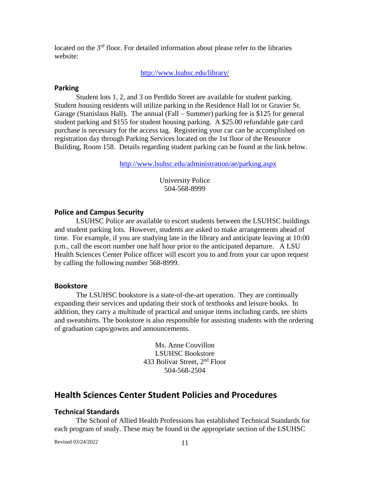located on the 3<sup>rd</sup> floor. For detailed information about please refer to the libraries website:

<http://www.lsuhsc.edu/library/>

#### <span id="page-11-0"></span>**Parking**

Student lots 1, 2, and 3 on Perdido Street are available for student parking. Student housing residents will utilize parking in the Residence Hall lot or Gravier St. Garage (Stanislaus Hall). The annual (Fall – Summer) parking fee is \$125 for general student parking and \$155 for student housing parking. A \$25.00 refundable gate card purchase is necessary for the access tag. Registering your car can be accomplished on registration day through Parking Services located on the 1st floor of the Resource Building, Room 158. Details regarding student parking can be found at the link below.

<http://www.lsuhsc.edu/administration/ae/parking.aspx>

University Police 504-568-8999

#### <span id="page-11-1"></span>**Police and Campus Security**

LSUHSC Police are available to escort students between the LSUHSC buildings and student parking lots. However, students are asked to make arrangements ahead of time. For example, if you are studying late in the library and anticipate leaving at 10:00 p.m., call the escort number one half hour prior to the anticipated departure. A LSU Health Sciences Center Police officer will escort you to and from your car upon request by calling the following number 568-8999.

#### <span id="page-11-2"></span>**Bookstore**

The LSUHSC bookstore is a state-of-the-art operation. They are continually expanding their services and updating their stock of textbooks and leisure books. In addition, they carry a multitude of practical and unique items including cards, tee shirts and sweatshirts. The bookstore is also responsible for assisting students with the ordering of graduation caps/gowns and announcements.

> Ms. Anne Couvillon LSUHSC Bookstore 433 Bolivar Street, 2nd Floor 504-568-2504

# <span id="page-11-3"></span>**Health Sciences Center Student Policies and Procedures**

#### <span id="page-11-4"></span>**Technical Standards**

The School of Allied Health Professions has established Technical Standards for each program of study. These may be found in the appropriate section of the LSUHSC

Revised 03/24/2022 11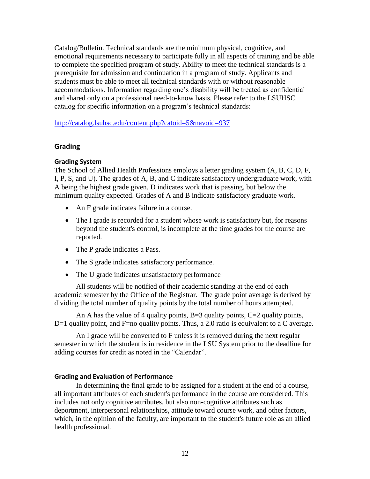Catalog/Bulletin. Technical standards are the minimum physical, cognitive, and emotional requirements necessary to participate fully in all aspects of training and be able to complete the specified program of study. Ability to meet the technical standards is a prerequisite for admission and continuation in a program of study. Applicants and students must be able to meet all technical standards with or without reasonable accommodations. Information regarding one's disability will be treated as confidential and shared only on a professional need-to-know basis. Please refer to the LSUHSC catalog for specific information on a program's technical standards:

<http://catalog.lsuhsc.edu/content.php?catoid=5&navoid=937>

# <span id="page-12-0"></span>**Grading**

### <span id="page-12-1"></span>**Grading System**

The School of Allied Health Professions employs a letter grading system (A, B, C, D, F, I, P, S, and U). The grades of A, B, and C indicate satisfactory undergraduate work, with A being the highest grade given. D indicates work that is passing, but below the minimum quality expected. Grades of A and B indicate satisfactory graduate work.

- An F grade indicates failure in a course.
- The I grade is recorded for a student whose work is satisfactory but, for reasons beyond the student's control, is incomplete at the time grades for the course are reported.
- The P grade indicates a Pass.
- The S grade indicates satisfactory performance.
- The U grade indicates unsatisfactory performance

All students will be notified of their academic standing at the end of each academic semester by the Office of the Registrar. The grade point average is derived by dividing the total number of quality points by the total number of hours attempted.

An A has the value of 4 quality points,  $B=3$  quality points,  $C=2$  quality points,  $D=1$  quality point, and F=no quality points. Thus, a 2.0 ratio is equivalent to a C average.

An I grade will be converted to F unless it is removed during the next regular semester in which the student is in residence in the LSU System prior to the deadline for adding courses for credit as noted in the "Calendar".

### <span id="page-12-2"></span>**Grading and Evaluation of Performance**

In determining the final grade to be assigned for a student at the end of a course, all important attributes of each student's performance in the course are considered. This includes not only cognitive attributes, but also non-cognitive attributes such as deportment, interpersonal relationships, attitude toward course work, and other factors, which, in the opinion of the faculty, are important to the student's future role as an allied health professional.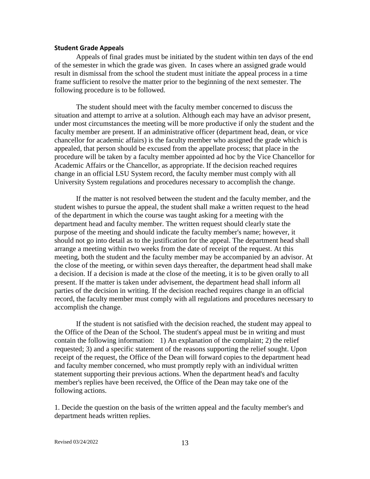#### <span id="page-13-0"></span>**Student Grade Appeals**

Appeals of final grades must be initiated by the student within ten days of the end of the semester in which the grade was given. In cases where an assigned grade would result in dismissal from the school the student must initiate the appeal process in a time frame sufficient to resolve the matter prior to the beginning of the next semester. The following procedure is to be followed.

The student should meet with the faculty member concerned to discuss the situation and attempt to arrive at a solution. Although each may have an advisor present, under most circumstances the meeting will be more productive if only the student and the faculty member are present. If an administrative officer (department head, dean, or vice chancellor for academic affairs) is the faculty member who assigned the grade which is appealed, that person should be excused from the appellate process; that place in the procedure will be taken by a faculty member appointed ad hoc by the Vice Chancellor for Academic Affairs or the Chancellor, as appropriate. If the decision reached requires change in an official LSU System record, the faculty member must comply with all University System regulations and procedures necessary to accomplish the change.

If the matter is not resolved between the student and the faculty member, and the student wishes to pursue the appeal, the student shall make a written request to the head of the department in which the course was taught asking for a meeting with the department head and faculty member. The written request should clearly state the purpose of the meeting and should indicate the faculty member's name; however, it should not go into detail as to the justification for the appeal. The department head shall arrange a meeting within two weeks from the date of receipt of the request. At this meeting, both the student and the faculty member may be accompanied by an advisor. At the close of the meeting, or within seven days thereafter, the department head shall make a decision. If a decision is made at the close of the meeting, it is to be given orally to all present. If the matter is taken under advisement, the department head shall inform all parties of the decision in writing. If the decision reached requires change in an official record, the faculty member must comply with all regulations and procedures necessary to accomplish the change.

If the student is not satisfied with the decision reached, the student may appeal to the Office of the Dean of the School. The student's appeal must be in writing and must contain the following information: 1) An explanation of the complaint; 2) the relief requested; 3) and a specific statement of the reasons supporting the relief sought. Upon receipt of the request, the Office of the Dean will forward copies to the department head and faculty member concerned, who must promptly reply with an individual written statement supporting their previous actions. When the department head's and faculty member's replies have been received, the Office of the Dean may take one of the following actions.

1. Decide the question on the basis of the written appeal and the faculty member's and department heads written replies.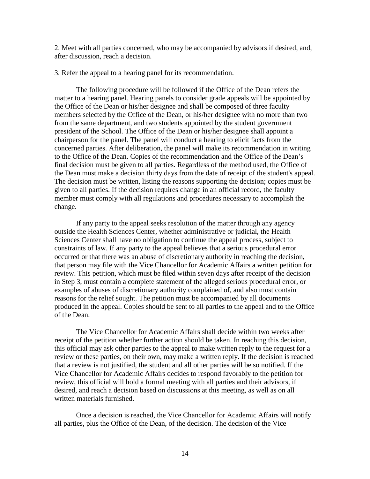2. Meet with all parties concerned, who may be accompanied by advisors if desired, and, after discussion, reach a decision.

3. Refer the appeal to a hearing panel for its recommendation.

The following procedure will be followed if the Office of the Dean refers the matter to a hearing panel. Hearing panels to consider grade appeals will be appointed by the Office of the Dean or his/her designee and shall be composed of three faculty members selected by the Office of the Dean, or his/her designee with no more than two from the same department, and two students appointed by the student government president of the School. The Office of the Dean or his/her designee shall appoint a chairperson for the panel. The panel will conduct a hearing to elicit facts from the concerned parties. After deliberation, the panel will make its recommendation in writing to the Office of the Dean. Copies of the recommendation and the Office of the Dean's final decision must be given to all parties. Regardless of the method used, the Office of the Dean must make a decision thirty days from the date of receipt of the student's appeal. The decision must be written, listing the reasons supporting the decision; copies must be given to all parties. If the decision requires change in an official record, the faculty member must comply with all regulations and procedures necessary to accomplish the change.

If any party to the appeal seeks resolution of the matter through any agency outside the Health Sciences Center, whether administrative or judicial, the Health Sciences Center shall have no obligation to continue the appeal process, subject to constraints of law. If any party to the appeal believes that a serious procedural error occurred or that there was an abuse of discretionary authority in reaching the decision, that person may file with the Vice Chancellor for Academic Affairs a written petition for review. This petition, which must be filed within seven days after receipt of the decision in Step 3, must contain a complete statement of the alleged serious procedural error, or examples of abuses of discretionary authority complained of, and also must contain reasons for the relief sought. The petition must be accompanied by all documents produced in the appeal. Copies should be sent to all parties to the appeal and to the Office of the Dean.

The Vice Chancellor for Academic Affairs shall decide within two weeks after receipt of the petition whether further action should be taken. In reaching this decision, this official may ask other parties to the appeal to make written reply to the request for a review or these parties, on their own, may make a written reply. If the decision is reached that a review is not justified, the student and all other parties will be so notified. If the Vice Chancellor for Academic Affairs decides to respond favorably to the petition for review, this official will hold a formal meeting with all parties and their advisors, if desired, and reach a decision based on discussions at this meeting, as well as on all written materials furnished.

Once a decision is reached, the Vice Chancellor for Academic Affairs will notify all parties, plus the Office of the Dean, of the decision. The decision of the Vice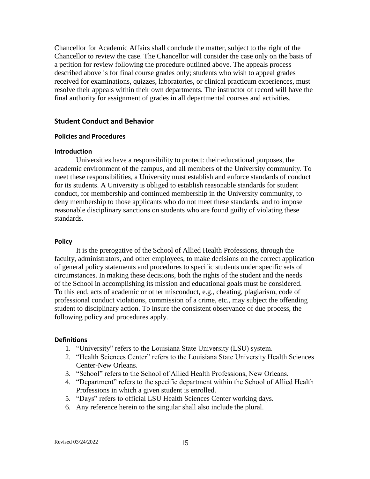Chancellor for Academic Affairs shall conclude the matter, subject to the right of the Chancellor to review the case. The Chancellor will consider the case only on the basis of a petition for review following the procedure outlined above. The appeals process described above is for final course grades only; students who wish to appeal grades received for examinations, quizzes, laboratories, or clinical practicum experiences, must resolve their appeals within their own departments. The instructor of record will have the final authority for assignment of grades in all departmental courses and activities.

#### <span id="page-15-0"></span>**Student Conduct and Behavior**

#### <span id="page-15-1"></span>**Policies and Procedures**

#### **Introduction**

Universities have a responsibility to protect: their educational purposes, the academic environment of the campus, and all members of the University community. To meet these responsibilities, a University must establish and enforce standards of conduct for its students. A University is obliged to establish reasonable standards for student conduct, for membership and continued membership in the University community, to deny membership to those applicants who do not meet these standards, and to impose reasonable disciplinary sanctions on students who are found guilty of violating these standards.

#### **Policy**

It is the prerogative of the School of Allied Health Professions, through the faculty, administrators, and other employees, to make decisions on the correct application of general policy statements and procedures to specific students under specific sets of circumstances. In making these decisions, both the rights of the student and the needs of the School in accomplishing its mission and educational goals must be considered. To this end, acts of academic or other misconduct, e.g., cheating, plagiarism, code of professional conduct violations, commission of a crime, etc., may subject the offending student to disciplinary action. To insure the consistent observance of due process, the following policy and procedures apply.

#### **Definitions**

- 1. "University" refers to the Louisiana State University (LSU) system.
- 2. "Health Sciences Center" refers to the Louisiana State University Health Sciences Center-New Orleans.
- 3. "School" refers to the School of Allied Health Professions, New Orleans.
- 4. "Department" refers to the specific department within the School of Allied Health Professions in which a given student is enrolled.
- 5. "Days" refers to official LSU Health Sciences Center working days.
- 6. Any reference herein to the singular shall also include the plural.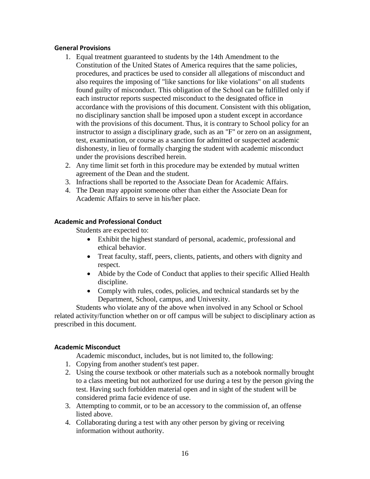## **General Provisions**

- 1. Equal treatment guaranteed to students by the 14th Amendment to the Constitution of the United States of America requires that the same policies, procedures, and practices be used to consider all allegations of misconduct and also requires the imposing of "like sanctions for like violations" on all students found guilty of misconduct. This obligation of the School can be fulfilled only if each instructor reports suspected misconduct to the designated office in accordance with the provisions of this document. Consistent with this obligation, no disciplinary sanction shall be imposed upon a student except in accordance with the provisions of this document. Thus, it is contrary to School policy for an instructor to assign a disciplinary grade, such as an "F" or zero on an assignment, test, examination, or course as a sanction for admitted or suspected academic dishonesty, in lieu of formally charging the student with academic misconduct under the provisions described herein.
- 2. Any time limit set forth in this procedure may be extended by mutual written agreement of the Dean and the student.
- 3. Infractions shall be reported to the Associate Dean for Academic Affairs.
- 4. The Dean may appoint someone other than either the Associate Dean for Academic Affairs to serve in his/her place.

# **Academic and Professional Conduct**

Students are expected to:

- Exhibit the highest standard of personal, academic, professional and ethical behavior.
- Treat faculty, staff, peers, clients, patients, and others with dignity and respect.
- Abide by the Code of Conduct that applies to their specific Allied Health discipline.
- Comply with rules, codes, policies, and technical standards set by the Department, School, campus, and University.

Students who violate any of the above when involved in any School or School related activity/function whether on or off campus will be subject to disciplinary action as prescribed in this document.

# **Academic Misconduct**

Academic misconduct, includes, but is not limited to, the following:

- 1. Copying from another student's test paper.
- 2. Using the course textbook or other materials such as a notebook normally brought to a class meeting but not authorized for use during a test by the person giving the test. Having such forbidden material open and in sight of the student will be considered prima facie evidence of use.
- 3. Attempting to commit, or to be an accessory to the commission of, an offense listed above.
- 4. Collaborating during a test with any other person by giving or receiving information without authority.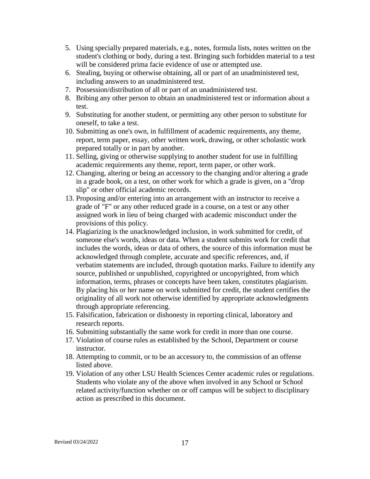- 5. Using specially prepared materials, e.g., notes, formula lists, notes written on the student's clothing or body, during a test. Bringing such forbidden material to a test will be considered prima facie evidence of use or attempted use.
- 6. Stealing, buying or otherwise obtaining, all or part of an unadministered test, including answers to an unadministered test.
- 7. Possession/distribution of all or part of an unadministered test.
- 8. Bribing any other person to obtain an unadministered test or information about a test.
- 9. Substituting for another student, or permitting any other person to substitute for oneself, to take a test.
- 10. Submitting as one's own, in fulfillment of academic requirements, any theme, report, term paper, essay, other written work, drawing, or other scholastic work prepared totally or in part by another.
- 11. Selling, giving or otherwise supplying to another student for use in fulfilling academic requirements any theme, report, term paper, or other work.
- 12. Changing, altering or being an accessory to the changing and/or altering a grade in a grade book, on a test, on other work for which a grade is given, on a "drop slip" or other official academic records.
- 13. Proposing and/or entering into an arrangement with an instructor to receive a grade of "F" or any other reduced grade in a course, on a test or any other assigned work in lieu of being charged with academic misconduct under the provisions of this policy.
- 14. Plagiarizing is the unacknowledged inclusion, in work submitted for credit, of someone else's words, ideas or data. When a student submits work for credit that includes the words, ideas or data of others, the source of this information must be acknowledged through complete, accurate and specific references, and, if verbatim statements are included, through quotation marks. Failure to identify any source, published or unpublished, copyrighted or uncopyrighted, from which information, terms, phrases or concepts have been taken, constitutes plagiarism. By placing his or her name on work submitted for credit, the student certifies the originality of all work not otherwise identified by appropriate acknowledgments through appropriate referencing.
- 15. Falsification, fabrication or dishonesty in reporting clinical, laboratory and research reports.
- 16. Submitting substantially the same work for credit in more than one course.
- 17. Violation of course rules as established by the School, Department or course instructor.
- 18. Attempting to commit, or to be an accessory to, the commission of an offense listed above.
- 19. Violation of any other LSU Health Sciences Center academic rules or regulations. Students who violate any of the above when involved in any School or School related activity/function whether on or off campus will be subject to disciplinary action as prescribed in this document.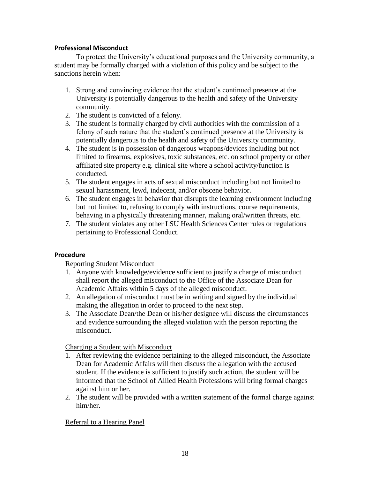# **Professional Misconduct**

To protect the University's educational purposes and the University community, a student may be formally charged with a violation of this policy and be subject to the sanctions herein when:

- 1. Strong and convincing evidence that the student's continued presence at the University is potentially dangerous to the health and safety of the University community.
- 2. The student is convicted of a felony.
- 3. The student is formally charged by civil authorities with the commission of a felony of such nature that the student's continued presence at the University is potentially dangerous to the health and safety of the University community.
- 4. The student is in possession of dangerous weapons/devices including but not limited to firearms, explosives, toxic substances, etc. on school property or other affiliated site property e.g. clinical site where a school activity/function is conducted.
- 5. The student engages in acts of sexual misconduct including but not limited to sexual harassment, lewd, indecent, and/or obscene behavior.
- 6. The student engages in behavior that disrupts the learning environment including but not limited to, refusing to comply with instructions, course requirements, behaving in a physically threatening manner, making oral/written threats, etc.
- 7. The student violates any other LSU Health Sciences Center rules or regulations pertaining to Professional Conduct.

### **Procedure**

Reporting Student Misconduct

- 1. Anyone with knowledge/evidence sufficient to justify a charge of misconduct shall report the alleged misconduct to the Office of the Associate Dean for Academic Affairs within 5 days of the alleged misconduct.
- 2. An allegation of misconduct must be in writing and signed by the individual making the allegation in order to proceed to the next step.
- 3. The Associate Dean/the Dean or his/her designee will discuss the circumstances and evidence surrounding the alleged violation with the person reporting the misconduct.

Charging a Student with Misconduct

- 1. After reviewing the evidence pertaining to the alleged misconduct, the Associate Dean for Academic Affairs will then discuss the allegation with the accused student. If the evidence is sufficient to justify such action, the student will be informed that the School of Allied Health Professions will bring formal charges against him or her.
- 2. The student will be provided with a written statement of the formal charge against him/her.

# Referral to a Hearing Panel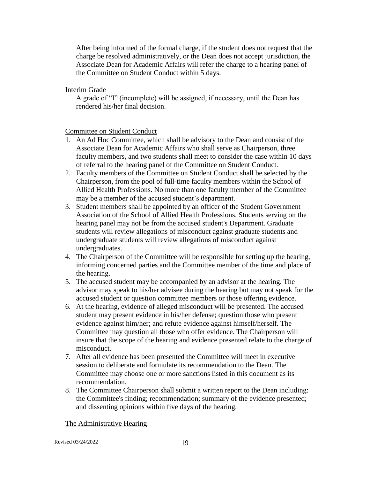After being informed of the formal charge, if the student does not request that the charge be resolved administratively, or the Dean does not accept jurisdiction, the Associate Dean for Academic Affairs will refer the charge to a hearing panel of the Committee on Student Conduct within 5 days.

## Interim Grade

A grade of "I" (incomplete) will be assigned, if necessary, until the Dean has rendered his/her final decision.

# Committee on Student Conduct

- 1. An Ad Hoc Committee, which shall be advisory to the Dean and consist of the Associate Dean for Academic Affairs who shall serve as Chairperson, three faculty members, and two students shall meet to consider the case within 10 days of referral to the hearing panel of the Committee on Student Conduct.
- 2. Faculty members of the Committee on Student Conduct shall be selected by the Chairperson, from the pool of full-time faculty members within the School of Allied Health Professions. No more than one faculty member of the Committee may be a member of the accused student's department.
- 3. Student members shall be appointed by an officer of the Student Government Association of the School of Allied Health Professions. Students serving on the hearing panel may not be from the accused student's Department. Graduate students will review allegations of misconduct against graduate students and undergraduate students will review allegations of misconduct against undergraduates.
- 4. The Chairperson of the Committee will be responsible for setting up the hearing, informing concerned parties and the Committee member of the time and place of the hearing.
- 5. The accused student may be accompanied by an advisor at the hearing. The advisor may speak to his/her advisee during the hearing but may not speak for the accused student or question committee members or those offering evidence.
- 6. At the hearing, evidence of alleged misconduct will be presented. The accused student may present evidence in his/her defense; question those who present evidence against him/her; and refute evidence against himself/herself. The Committee may question all those who offer evidence. The Chairperson will insure that the scope of the hearing and evidence presented relate to the charge of misconduct.
- 7. After all evidence has been presented the Committee will meet in executive session to deliberate and formulate its recommendation to the Dean. The Committee may choose one or more sanctions listed in this document as its recommendation.
- 8. The Committee Chairperson shall submit a written report to the Dean including: the Committee's finding; recommendation; summary of the evidence presented; and dissenting opinions within five days of the hearing.

### The Administrative Hearing

Revised 03/24/2022 19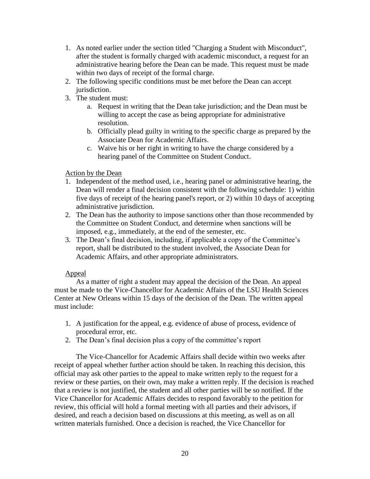- 1. As noted earlier under the section titled "Charging a Student with Misconduct", after the student is formally charged with academic misconduct, a request for an administrative hearing before the Dean can be made. This request must be made within two days of receipt of the formal charge.
- 2. The following specific conditions must be met before the Dean can accept jurisdiction.
- 3. The student must:
	- a. Request in writing that the Dean take jurisdiction; and the Dean must be willing to accept the case as being appropriate for administrative resolution.
	- b. Officially plead guilty in writing to the specific charge as prepared by the Associate Dean for Academic Affairs.
	- c. Waive his or her right in writing to have the charge considered by a hearing panel of the Committee on Student Conduct.

# Action by the Dean

- 1. Independent of the method used, i.e., hearing panel or administrative hearing, the Dean will render a final decision consistent with the following schedule: 1) within five days of receipt of the hearing panel's report, or 2) within 10 days of accepting administrative jurisdiction.
- 2. The Dean has the authority to impose sanctions other than those recommended by the Committee on Student Conduct, and determine when sanctions will be imposed, e.g., immediately, at the end of the semester, etc.
- 3. The Dean's final decision, including, if applicable a copy of the Committee's report, shall be distributed to the student involved, the Associate Dean for Academic Affairs, and other appropriate administrators.

# Appeal

As a matter of right a student may appeal the decision of the Dean. An appeal must be made to the Vice-Chancellor for Academic Affairs of the LSU Health Sciences Center at New Orleans within 15 days of the decision of the Dean. The written appeal must include:

- 1. A justification for the appeal, e.g. evidence of abuse of process, evidence of procedural error, etc.
- 2. The Dean's final decision plus a copy of the committee's report

The Vice-Chancellor for Academic Affairs shall decide within two weeks after receipt of appeal whether further action should be taken. In reaching this decision, this official may ask other parties to the appeal to make written reply to the request for a review or these parties, on their own, may make a written reply. If the decision is reached that a review is not justified, the student and all other parties will be so notified. If the Vice Chancellor for Academic Affairs decides to respond favorably to the petition for review, this official will hold a formal meeting with all parties and their advisors, if desired, and reach a decision based on discussions at this meeting, as well as on all written materials furnished. Once a decision is reached, the Vice Chancellor for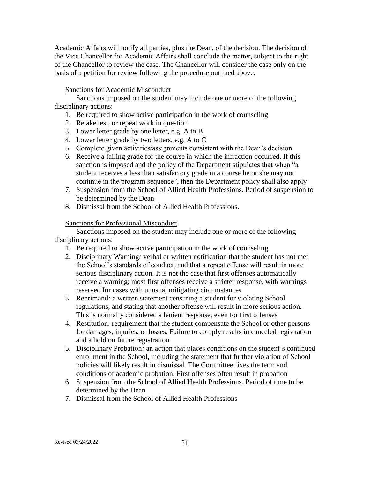Academic Affairs will notify all parties, plus the Dean, of the decision. The decision of the Vice Chancellor for Academic Affairs shall conclude the matter, subject to the right of the Chancellor to review the case. The Chancellor will consider the case only on the basis of a petition for review following the procedure outlined above.

## Sanctions for Academic Misconduct

Sanctions imposed on the student may include one or more of the following disciplinary actions:

- 1. Be required to show active participation in the work of counseling
- 2. Retake test, or repeat work in question
- 3. Lower letter grade by one letter, e.g. A to B
- 4. Lower letter grade by two letters, e.g. A to C
- 5. Complete given activities/assignments consistent with the Dean's decision
- 6. Receive a failing grade for the course in which the infraction occurred. If this sanction is imposed and the policy of the Department stipulates that when "a student receives a less than satisfactory grade in a course he or she may not continue in the program sequence", then the Department policy shall also apply
- 7. Suspension from the School of Allied Health Professions. Period of suspension to be determined by the Dean
- 8. Dismissal from the School of Allied Health Professions.

#### Sanctions for Professional Misconduct

Sanctions imposed on the student may include one or more of the following disciplinary actions:

- 1. Be required to show active participation in the work of counseling
- 2. Disciplinary Warning*:* verbal or written notification that the student has not met the School's standards of conduct, and that a repeat offense will result in more serious disciplinary action. It is not the case that first offenses automatically receive a warning; most first offenses receive a stricter response, with warnings reserved for cases with unusual mitigating circumstances
- 3. Reprimand*:* a written statement censuring a student for violating School regulations, and stating that another offense will result in more serious action. This is normally considered a lenient response, even for first offenses
- 4. Restitution: requirement that the student compensate the School or other persons for damages, injuries, or losses. Failure to comply results in canceled registration and a hold on future registration
- 5. Disciplinary Probation*:* an action that places conditions on the student's continued enrollment in the School, including the statement that further violation of School policies will likely result in dismissal. The Committee fixes the term and conditions of academic probation. First offenses often result in probation
- 6. Suspension from the School of Allied Health Professions. Period of time to be determined by the Dean
- 7. Dismissal from the School of Allied Health Professions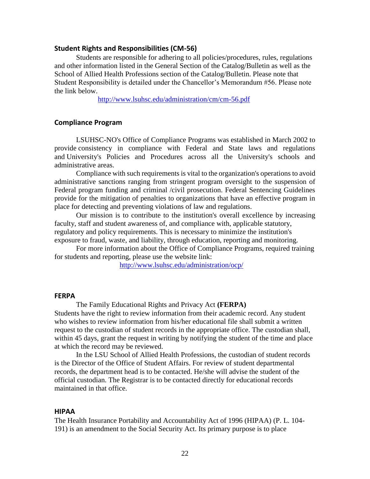#### <span id="page-22-0"></span>**Student Rights and Responsibilities (CM-56)**

Students are responsible for adhering to all policies/procedures, rules, regulations and other information listed in the General Section of the Catalog/Bulletin as well as the School of Allied Health Professions section of the Catalog/Bulletin. Please note that Student Responsibility is detailed under the Chancellor's Memorandum #56. Please note the link below.

<http://www.lsuhsc.edu/administration/cm/cm-56.pdf>

#### <span id="page-22-1"></span>**Compliance Program**

LSUHSC-NO's Office of Compliance Programs was established in March 2002 to provide consistency in compliance with Federal and State laws and regulations and University's Policies and Procedures across all the University's schools and administrative areas.

Compliance with such requirements is vital to the organization's operations to avoid administrative sanctions ranging from stringent program oversight to the suspension of Federal program funding and criminal /civil prosecution. Federal Sentencing Guidelines provide for the mitigation of penalties to organizations that have an effective program in place for detecting and preventing violations of law and regulations.

Our mission is to contribute to the institution's overall excellence by increasing faculty, staff and student awareness of, and compliance with, applicable statutory, regulatory and policy requirements. This is necessary to minimize the institution's exposure to fraud, waste, and liability, through education, reporting and monitoring.

For more information about the Office of Compliance Programs, required training for students and reporting, please use the website link:

<http://www.lsuhsc.edu/administration/ocp/>

#### <span id="page-22-2"></span>**FERPA**

The Family Educational Rights and Privacy Act **(FERPA)** Students have the right to review information from their academic record. Any student who wishes to review information from his/her educational file shall submit a written request to the custodian of student records in the appropriate office. The custodian shall, within 45 days, grant the request in writing by notifying the student of the time and place at which the record may be reviewed.

In the LSU School of Allied Health Professions, the custodian of student records is the Director of the Office of Student Affairs. For review of student departmental records, the department head is to be contacted. He/she will advise the student of the official custodian. The Registrar is to be contacted directly for educational records maintained in that office.

#### <span id="page-22-3"></span>**HIPAA**

The Health Insurance Portability and Accountability Act of 1996 (HIPAA) (P. L. 104- 191) is an amendment to the Social Security Act. Its primary purpose is to place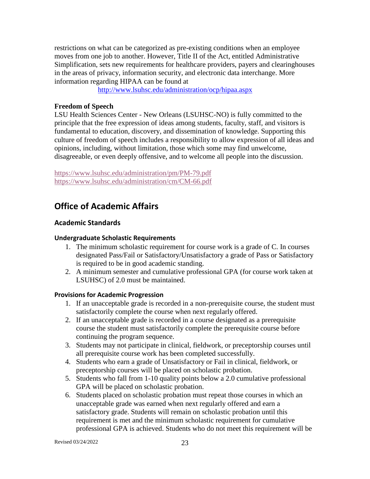restrictions on what can be categorized as pre-existing conditions when an employee moves from one job to another. However, Title II of the Act, entitled Administrative Simplification, sets new requirements for healthcare providers, payers and clearinghouses in the areas of privacy, information security, and electronic data interchange. More information regarding HIPAA can be found at

<http://www.lsuhsc.edu/administration/ocp/hipaa.aspx>

# **Freedom of Speech**

LSU Health Sciences Center - New Orleans (LSUHSC-NO) is fully committed to the principle that the free expression of ideas among students, faculty, staff, and visitors is fundamental to education, discovery, and dissemination of knowledge. Supporting this culture of freedom of speech includes a responsibility to allow expression of all ideas and opinions, including, without limitation, those which some may find unwelcome, disagreeable, or even deeply offensive, and to welcome all people into the discussion.

<https://www.lsuhsc.edu/administration/pm/PM-79.pdf> <https://www.lsuhsc.edu/administration/cm/CM-66.pdf>

# <span id="page-23-0"></span>**Office of Academic Affairs**

# <span id="page-23-1"></span>**Academic Standards**

# <span id="page-23-2"></span>**Undergraduate Scholastic Requirements**

- 1. The minimum scholastic requirement for course work is a grade of C. In courses designated Pass/Fail or Satisfactory/Unsatisfactory a grade of Pass or Satisfactory is required to be in good academic standing.
- 2. A minimum semester and cumulative professional GPA (for course work taken at LSUHSC) of 2.0 must be maintained.

### **Provisions for Academic Progression**

- 1. If an unacceptable grade is recorded in a non-prerequisite course, the student must satisfactorily complete the course when next regularly offered.
- 2. If an unacceptable grade is recorded in a course designated as a prerequisite course the student must satisfactorily complete the prerequisite course before continuing the program sequence.
- 3. Students may not participate in clinical, fieldwork, or preceptorship courses until all prerequisite course work has been completed successfully.
- 4. Students who earn a grade of Unsatisfactory or Fail in clinical, fieldwork, or preceptorship courses will be placed on scholastic probation.
- 5. Students who fall from 1-10 quality points below a 2.0 cumulative professional GPA will be placed on scholastic probation.
- 6. Students placed on scholastic probation must repeat those courses in which an unacceptable grade was earned when next regularly offered and earn a satisfactory grade. Students will remain on scholastic probation until this requirement is met and the minimum scholastic requirement for cumulative professional GPA is achieved. Students who do not meet this requirement will be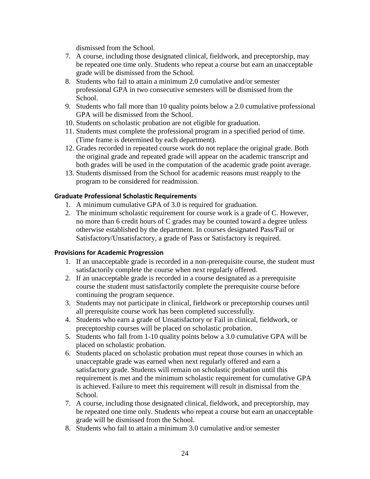dismissed from the School.

- 7. A course, including those designated clinical, fieldwork, and preceptorship, may be repeated one time only. Students who repeat a course but earn an unacceptable grade will be dismissed from the School.
- 8. Students who fail to attain a minimum 2.0 cumulative and/or semester professional GPA in two consecutive semesters will be dismissed from the School.
- 9. Students who fall more than 10 quality points below a 2.0 cumulative professional GPA will be dismissed from the School.
- 10. Students on scholastic probation are not eligible for graduation.
- 11. Students must complete the professional program in a specified period of time. (Time frame is determined by each department).
- 12. Grades recorded in repeated course work do not replace the original grade. Both the original grade and repeated grade will appear on the academic transcript and both grades will be used in the computation of the academic grade point average.
- 13. Students dismissed from the School for academic reasons must reapply to the program to be considered for readmission.

# <span id="page-24-0"></span>**Graduate Professional Scholastic Requirements**

- 1. A minimum cumulative GPA of 3.0 is required for graduation.
- 2. The minimum scholastic requirement for course work is a grade of C. However, no more than 6 credit hours of C grades may be counted toward a degree unless otherwise established by the department. In courses designated Pass/Fail or Satisfactory/Unsatisfactory, a grade of Pass or Satisfactory is required.

# **Provisions for Academic Progression**

- 1. If an unacceptable grade is recorded in a non-prerequisite course, the student must satisfactorily complete the course when next regularly offered.
- 2. If an unacceptable grade is recorded in a course designated as a prerequisite course the student must satisfactorily complete the prerequisite course before continuing the program sequence.
- 3. Students may not participate in clinical, fieldwork or preceptorship courses until all prerequisite course work has been completed successfully.
- 4. Students who earn a grade of Unsatisfactory or Fail in clinical, fieldwork, or preceptorship courses will be placed on scholastic probation.
- 5. Students who fall from 1-10 quality points below a 3.0 cumulative GPA will be placed on scholastic probation.
- 6. Students placed on scholastic probation must repeat those courses in which an unacceptable grade was earned when next regularly offered and earn a satisfactory grade. Students will remain on scholastic probation until this requirement is met and the minimum scholastic requirement for cumulative GPA is achieved. Failure to meet this requirement will result in dismissal from the School.
- 7. A course, including those designated clinical, fieldwork, and preceptorship, may be repeated one time only. Students who repeat a course but earn an unacceptable grade will be dismissed from the School.
- 8. Students who fail to attain a minimum 3.0 cumulative and/or semester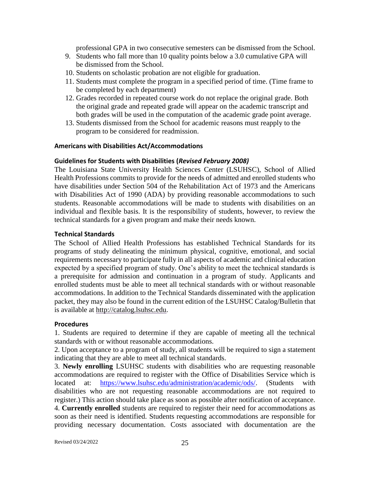professional GPA in two consecutive semesters can be dismissed from the School.

- 9. Students who fall more than 10 quality points below a 3.0 cumulative GPA will be dismissed from the School.
- 10. Students on scholastic probation are not eligible for graduation.
- 11. Students must complete the program in a specified period of time. (Time frame to be completed by each department)
- 12. Grades recorded in repeated course work do not replace the original grade. Both the original grade and repeated grade will appear on the academic transcript and both grades will be used in the computation of the academic grade point average.
- 13. Students dismissed from the School for academic reasons must reapply to the program to be considered for readmission.

#### <span id="page-25-0"></span>**Americans with Disabilities Act/Accommodations**

#### <span id="page-25-1"></span>**Guidelines for Students with Disabilities (***Revised February 2008)*

The Louisiana State University Health Sciences Center (LSUHSC), School of Allied Health Professions commits to provide for the needs of admitted and enrolled students who have disabilities under Section 504 of the Rehabilitation Act of 1973 and the Americans with Disabilities Act of 1990 (ADA) by providing reasonable accommodations to such students. Reasonable accommodations will be made to students with disabilities on an individual and flexible basis. It is the responsibility of students, however, to review the technical standards for a given program and make their needs known.

#### <span id="page-25-2"></span>**Technical Standards**

The School of Allied Health Professions has established Technical Standards for its programs of study delineating the minimum physical, cognitive, emotional, and social requirements necessary to participate fully in all aspects of academic and clinical education expected by a specified program of study. One's ability to meet the technical standards is a prerequisite for admission and continuation in a program of study. Applicants and enrolled students must be able to meet all technical standards with or without reasonable accommodations. In addition to the Technical Standards disseminated with the application packet, they may also be found in the current edition of the LSUHSC Catalog/Bulletin that is available at [http://catalog.lsuhsc.edu.](http://catalog.lsuhsc.edu/)

#### <span id="page-25-3"></span>**Procedures**

1. Students are required to determine if they are capable of meeting all the technical standards with or without reasonable accommodations.

2. Upon acceptance to a program of study, all students will be required to sign a statement indicating that they are able to meet all technical standards.

3. **Newly enrolling** LSUHSC students with disabilities who are requesting reasonable accommodations are required to register with the Office of Disabilities Service which is located at: [https://www.lsuhsc.edu/administration/academic/ods/.](https://www.lsuhsc.edu/administration/academic/ods/) (Students with disabilities who are not requesting reasonable accommodations are not required to register.) This action should take place as soon as possible after notification of acceptance. 4. **Currently enrolled** students are required to register their need for accommodations as soon as their need is identified. Students requesting accommodations are responsible for providing necessary documentation. Costs associated with documentation are the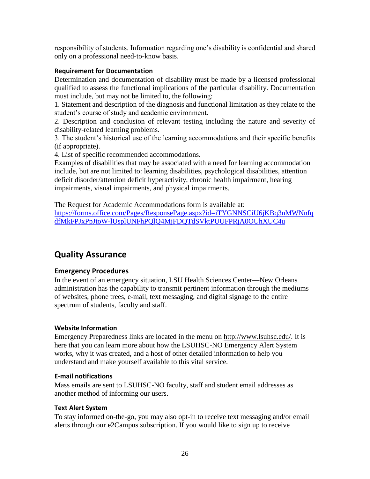responsibility of students. Information regarding one's disability is confidential and shared only on a professional need-to-know basis.

# <span id="page-26-0"></span>**Requirement for Documentation**

Determination and documentation of disability must be made by a licensed professional qualified to assess the functional implications of the particular disability. Documentation must include, but may not be limited to, the following:

1. Statement and description of the diagnosis and functional limitation as they relate to the student's course of study and academic environment.

2. Description and conclusion of relevant testing including the nature and severity of disability-related learning problems.

3. The student's historical use of the learning accommodations and their specific benefits (if appropriate).

4. List of specific recommended accommodations.

Examples of disabilities that may be associated with a need for learning accommodation include, but are not limited to: learning disabilities, psychological disabilities, attention deficit disorder/attention deficit hyperactivity, chronic health impairment, hearing impairments, visual impairments, and physical impairments.

The Request for Academic Accommodations form is available at:

[https://forms.office.com/Pages/ResponsePage.aspx?id=iTYGNNSCiU6jKBq3nMWNnfq](https://forms.office.com/Pages/ResponsePage.aspx?id=iTYGNNSCiU6jKBq3nMWNnfqdfMkFPJxPpJtoW-lUsplUNFhPQlQ4MjFDQTdSVktPUUFPRjA0OUhXUC4u) [dfMkFPJxPpJtoW-lUsplUNFhPQlQ4MjFDQTdSVktPUUFPRjA0OUhXUC4u](https://forms.office.com/Pages/ResponsePage.aspx?id=iTYGNNSCiU6jKBq3nMWNnfqdfMkFPJxPpJtoW-lUsplUNFhPQlQ4MjFDQTdSVktPUUFPRjA0OUhXUC4u)

# <span id="page-26-1"></span>**Quality Assurance**

# <span id="page-26-2"></span>**Emergency Procedures**

In the event of an emergency situation, LSU Health Sciences Center—New Orleans administration has the capability to transmit pertinent information through the mediums of websites, phone trees, e-mail, text messaging, and digital signage to the entire spectrum of students, faculty and staff.

# <span id="page-26-3"></span>**Website Information**

Emergency Preparedness links are located in the menu on [http://www.lsuhsc.edu/.](http://www.lsuhsc.edu/) It is here that you can learn more about how the LSUHSC-NO Emergency Alert System works, why it was created, and a host of other detailed information to help you understand and make yourself available to this vital service.

### <span id="page-26-4"></span>**E-mail notifications**

Mass emails are sent to LSUHSC-NO faculty, staff and student email addresses as another method of informing our users.

# <span id="page-26-5"></span>**Text Alert System**

To stay informed on-the-go, you may also [opt-in](http://911.lsuhsc.edu/eas/textemailalerts.aspx) to receive text messaging and/or email alerts through our e2Campus subscription. If you would like to sign up to receive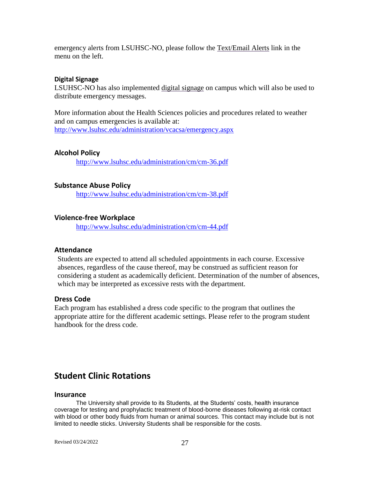emergency alerts from LSUHSC-NO, please follow the [Text/Email Alerts](http://911.lsuhsc.edu/eas/textemailalerts.aspx) link in the menu on the left.

#### <span id="page-27-0"></span>**Digital Signage**

LSUHSC-NO has also implemented [digital signage](http://911.lsuhsc.edu/eas/digitalsignage.aspx) on campus which will also be used to distribute emergency messages.

More information about the Health Sciences policies and procedures related to weather and on campus emergencies is available at: <http://www.lsuhsc.edu/administration/vcacsa/emergency.aspx>

#### <span id="page-27-1"></span>**Alcohol Policy**

<http://www.lsuhsc.edu/administration/cm/cm-36.pdf>

#### <span id="page-27-2"></span>**Substance Abuse Policy**

<http://www.lsuhsc.edu/administration/cm/cm-38.pdf>

#### <span id="page-27-3"></span>**Violence-free Workplace**

<http://www.lsuhsc.edu/administration/cm/cm-44.pdf>

#### <span id="page-27-4"></span>**Attendance**

Students are expected to attend all scheduled appointments in each course. Excessive absences, regardless of the cause thereof, may be construed as sufficient reason for considering a student as academically deficient. Determination of the number of absences, which may be interpreted as excessive rests with the department.

## <span id="page-27-5"></span>**Dress Code**

Each program has established a dress code specific to the program that outlines the appropriate attire for the different academic settings. Please refer to the program student handbook for the dress code.

# <span id="page-27-6"></span>**Student Clinic Rotations**

#### **Insurance**

The University shall provide to its Students, at the Students' costs, health insurance coverage for testing and prophylactic treatment of blood-borne diseases following at-risk contact with blood or other body fluids from human or animal sources. This contact may include but is not limited to needle sticks. University Students shall be responsible for the costs.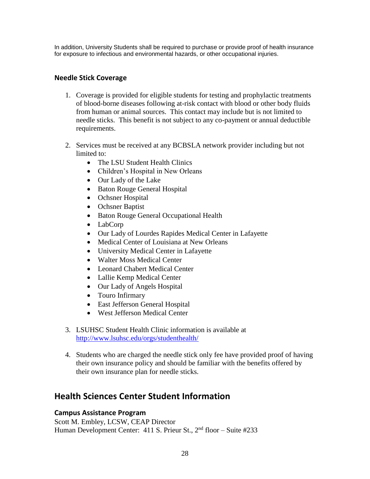In addition, University Students shall be required to purchase or provide proof of health insurance for exposure to infectious and environmental hazards, or other occupational injuries.

# <span id="page-28-0"></span>**Needle Stick Coverage**

- 1. Coverage is provided for eligible students for testing and prophylactic treatments of blood-borne diseases following at-risk contact with blood or other body fluids from human or animal sources. This contact may include but is not limited to needle sticks. This benefit is not subject to any co-payment or annual deductible requirements.
- 2. Services must be received at any BCBSLA network provider including but not limited to:
	- The LSU Student Health Clinics
	- Children's Hospital in New Orleans
	- Our Lady of the Lake
	- Baton Rouge General Hospital
	- Ochsner Hospital
	- Ochsner Baptist
	- Baton Rouge General Occupational Health
	- LabCorp
	- Our Lady of Lourdes Rapides Medical Center in Lafayette
	- Medical Center of Louisiana at New Orleans
	- University Medical Center in Lafayette
	- Walter Moss Medical Center
	- Leonard Chabert Medical Center
	- Lallie Kemp Medical Center
	- Our Lady of Angels Hospital
	- Touro Infirmary
	- East Jefferson General Hospital
	- West Jefferson Medical Center
- 3. LSUHSC Student Health Clinic information is available at <http://www.lsuhsc.edu/orgs/studenthealth/>
- 4. Students who are charged the needle stick only fee have provided proof of having their own insurance policy and should be familiar with the benefits offered by their own insurance plan for needle sticks.

# <span id="page-28-1"></span>**Health Sciences Center Student Information**

# <span id="page-28-2"></span>**Campus Assistance Program**

Scott M. Embley, LCSW, CEAP Director Human Development Center: 411 S. Prieur St.,  $2<sup>nd</sup>$  floor – Suite #233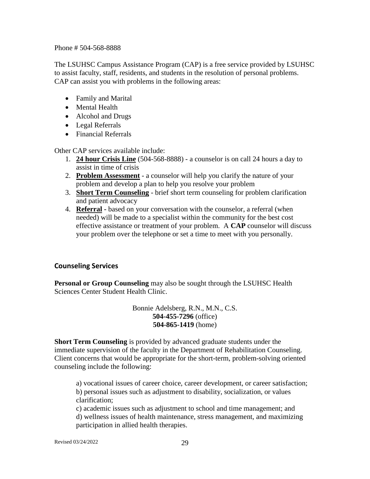Phone # 504-568-8888

The LSUHSC Campus Assistance Program (CAP) is a free service provided by LSUHSC to assist faculty, staff, residents, and students in the resolution of personal problems. CAP can assist you with problems in the following areas:

- Family and Marital
- Mental Health
- Alcohol and Drugs
- Legal Referrals
- Financial Referrals

Other CAP services available include:

- 1. **24 hour Crisis Line** (504-568-8888) a counselor is on call 24 hours a day to assist in time of crisis
- 2. **Problem Assessment** a counselor will help you clarify the nature of your problem and develop a plan to help you resolve your problem
- 3. **Short Term Counseling** brief short term counseling for problem clarification and patient advocacy
- 4. **Referral -** based on your conversation with the counselor, a referral (when needed) will be made to a specialist within the community for the best cost effective assistance or treatment of your problem. A **CAP** counselor will discuss your problem over the telephone or set a time to meet with you personally.

# <span id="page-29-0"></span>**Counseling Services**

**Personal or Group Counseling** may also be sought through the LSUHSC Health Sciences Center Student Health Clinic.

> Bonnie Adelsberg, R.N., M.N., C.S. **504-455-7296** (office) **504-865-1419** (home)

**Short Term Counseling** is provided by advanced graduate students under the immediate supervision of the faculty in the Department of Rehabilitation Counseling. Client concerns that would be appropriate for the short-term, problem-solving oriented counseling include the following:

a) vocational issues of career choice, career development, or career satisfaction; b) personal issues such as adjustment to disability, socialization, or values clarification;

c) academic issues such as adjustment to school and time management; and d) wellness issues of health maintenance, stress management, and maximizing participation in allied health therapies.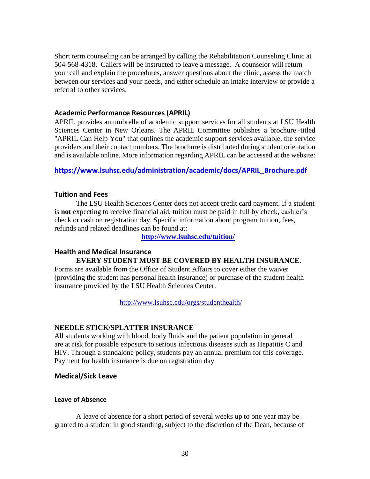Short term counseling can be arranged by calling the Rehabilitation Counseling Clinic at 504-568-4318. Callers will be instructed to leave a message. A counselor will return your call and explain the procedures, answer questions about the clinic, assess the match between our services and your needs, and either schedule an intake interview or provide a referral to other services.

### <span id="page-30-0"></span>**Academic Performance Resources (APRIL)**

APRIL provides an umbrella of academic support services for all students at LSU Health Sciences Center in New Orleans. The APRIL Committee publishes a brochure -titled ["APRIL Can Help You"](http://www.lsuhsc.edu/administration/academic/docs/APRIL_Student_Brochure.pdf) that outlines the academic support services available, the service providers and their contact numbers. The brochure is distributed during student orientation and is available online. More information regarding APRIL can be accessed at the website:

# <span id="page-30-1"></span>**[https://www.lsuhsc.edu/administration/academic/docs/APRIL\\_Brochure.pdf](https://www.lsuhsc.edu/administration/academic/docs/APRIL_Brochure.pdf)**

# <span id="page-30-2"></span>**Tuition and Fees**

The LSU Health Sciences Center does not accept credit card payment. If a student is **not** expecting to receive financial aid, tuition must be paid in full by check, cashier's check or cash on registration day. Specific information about program tuition, fees, refunds and related deadlines can be found at:

**<http://www.lsuhsc.edu/tuition/>**

# <span id="page-30-3"></span>**Health and Medical Insurance**

## **EVERY STUDENT MUST BE COVERED BY HEALTH INSURANCE.**

Forms are available from the Office of Student Affairs to cover either the waiver (providing the student has personal health insurance) or purchase of the student health insurance provided by the LSU Health Sciences Center.

<http://www.lsuhsc.edu/orgs/studenthealth/>

### **NEEDLE STICK/SPLATTER INSURANCE**

All students working with blood, body fluids and the patient population in general are at risk for possible exposure to serious infectious diseases such as Hepatitis C and HIV. Through a standalone policy, students pay an annual premium for this coverage. Payment for health insurance is due on registration day

### <span id="page-30-4"></span>**Medical/Sick Leave**

### <span id="page-30-5"></span>**Leave of Absence**

A leave of absence for a short period of several weeks up to one year may be granted to a student in good standing, subject to the discretion of the Dean, because of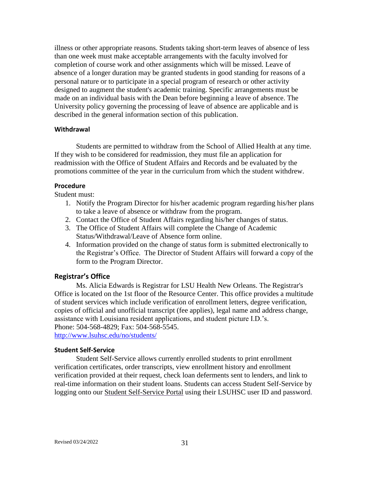illness or other appropriate reasons. Students taking short-term leaves of absence of less than one week must make acceptable arrangements with the faculty involved for completion of course work and other assignments which will be missed. Leave of absence of a longer duration may be granted students in good standing for reasons of a personal nature or to participate in a special program of research or other activity designed to augment the student's academic training. Specific arrangements must be made on an individual basis with the Dean before beginning a leave of absence. The University policy governing the processing of leave of absence are applicable and is described in the general information section of this publication.

#### <span id="page-31-0"></span>**Withdrawal**

Students are permitted to withdraw from the School of Allied Health at any time. If they wish to be considered for readmission, they must file an application for readmission with the Office of Student Affairs and Records and be evaluated by the promotions committee of the year in the curriculum from which the student withdrew.

#### <span id="page-31-1"></span>**Procedure**

Student must:

- 1. Notify the Program Director for his/her academic program regarding his/her plans to take a leave of absence or withdraw from the program.
- 2. Contact the Office of Student Affairs regarding his/her changes of status.
- 3. The Office of Student Affairs will complete the Change of Academic Status/Withdrawal/Leave of Absence form online.
- 4. Information provided on the change of status form is submitted electronically to the Registrar's Office. The Director of Student Affairs will forward a copy of the form to the Program Director.

#### <span id="page-31-2"></span>**Registrar's Office**

Ms. Alicia Edwards is Registrar for LSU Health New Orleans. The Registrar's Office is located on the 1st floor of the Resource Center. This office provides a multitude of student services which include verification of enrollment letters, degree verification, copies of official and unofficial transcript (fee applies), legal name and address change, assistance with Louisiana resident applications, and student picture I.D.'s. Phone: 504-568-4829; Fax: 504-568-5545.

<http://www.lsuhsc.edu/no/students/>

#### <span id="page-31-3"></span>**Student Self-Service**

Student Self-Service allows currently enrolled students to print enrollment verification certificates, order transcripts, view enrollment history and enrollment verification provided at their request, check loan deferments sent to lenders, and link to real-time information on their student loans. Students can access Student Self-Service by logging onto our **Student Self-Service Portal using their LSUHSC user ID and password.**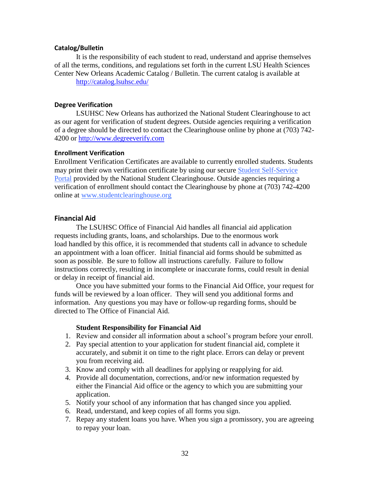#### <span id="page-32-0"></span>**Catalog/Bulletin**

It is the responsibility of each student to read, understand and apprise themselves of all the terms, conditions, and regulations set forth in the current LSU Health Sciences Center New Orleans Academic Catalog / Bulletin. The current catalog is available at <http://catalog.lsuhsc.edu/>

#### <span id="page-32-1"></span>**Degree Verification**

LSUHSC New Orleans has authorized the [National Student Clearinghouse](http://www.studentclearinghouse.org/) to act as our agent for verification of student degrees. Outside agencies requiring a verification of a degree should be directed to contact the Clearinghouse online by phone at (703) 742- 4200 or [http://www.degreeverify.com](http://www.degreeverify.com/)

#### <span id="page-32-2"></span>**Enrollment Verification**

Enrollment Verification Certificates are available to currently enrolled students. Students may print their own verification certificate by using our secure [Student Self-Service](https://intranet.lsuhsc.edu/clearinghouse/)  [Portal](https://intranet.lsuhsc.edu/clearinghouse/) provided by the National Student Clearinghouse. Outside agencies requiring a verification of enrollment should contact the Clearinghouse by phone at (703) 742-4200 online at [www.studentclearinghouse.org](http://www.studentclearinghouse.org/)

### <span id="page-32-3"></span>**Financial Aid**

The LSUHSC Office of Financial Aid handles all financial aid application requests including grants, loans, and scholarships. Due to the enormous work load handled by this office, it is recommended that students call in advance to schedule an appointment with a loan officer. Initial financial aid forms should be submitted as soon as possible. Be sure to follow all instructions carefully. Failure to follow instructions correctly, resulting in incomplete or inaccurate forms, could result in denial or delay in receipt of financial aid.

Once you have submitted your forms to the Financial Aid Office, your request for funds will be reviewed by a loan officer. They will send you additional forms and information. Any questions you may have or follow-up regarding forms, should be directed to The Office of Financial Aid.

### **Student Responsibility for Financial Aid**

- 1. Review and consider all information about a school's program before your enroll.
- 2. Pay special attention to your application for student financial aid, complete it accurately, and submit it on time to the right place. Errors can delay or prevent you from receiving aid.
- 3. Know and comply with all deadlines for applying or reapplying for aid.
- 4. Provide all documentation, corrections, and/or new information requested by either the Financial Aid office or the agency to which you are submitting your application.
- 5. Notify your school of any information that has changed since you applied.
- 6. Read, understand, and keep copies of all forms you sign.
- 7. Repay any student loans you have. When you sign a promissory, you are agreeing to repay your loan.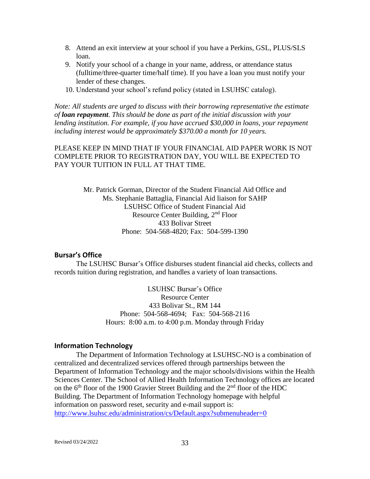- 8. Attend an exit interview at your school if you have a Perkins, GSL, PLUS/SLS loan.
- 9. Notify your school of a change in your name, address, or attendance status (fulltime/three-quarter time/half time). If you have a loan you must notify your lender of these changes.
- 10. Understand your school's refund policy (stated in LSUHSC catalog).

*Note: All students are urged to discuss with their borrowing representative the estimate of loan repayment. This should be done as part of the initial discussion with your lending institution. For example, if you have accrued \$30,000 in loans, your repayment including interest would be approximately \$370.00 a month for 10 years.*

PLEASE KEEP IN MIND THAT IF YOUR FINANCIAL AID PAPER WORK IS NOT COMPLETE PRIOR TO REGISTRATION DAY, YOU WILL BE EXPECTED TO PAY YOUR TUITION IN FULL AT THAT TIME.

> Mr. Patrick Gorman, Director of the Student Financial Aid Office and Ms. Stephanie Battaglia, Financial Aid liaison for SAHP LSUHSC Office of Student Financial Aid Resource Center Building, 2nd Floor 433 Bolivar Street Phone: 504-568-4820; Fax: 504-599-1390

#### <span id="page-33-0"></span>**Bursar's Office**

The LSUHSC Bursar's Office disburses student financial aid checks, collects and records tuition during registration, and handles a variety of loan transactions.

> LSUHSC Bursar's Office Resource Center 433 Bolivar St., RM 144 Phone: 504-568-4694; Fax: 504-568-2116 Hours: 8:00 a.m. to 4:00 p.m. Monday through Friday

#### <span id="page-33-1"></span>**Information Technology**

The Department of Information Technology at LSUHSC-NO is a combination of centralized and decentralized services offered through partnerships between the Department of Information Technology and the major schools/divisions within the Health Sciences Center. The School of Allied Health Information Technology offices are located on the  $6<sup>th</sup>$  floor of the 1900 Gravier Street Building and the  $2<sup>nd</sup>$  floor of the HDC Building. The Department of Information Technology homepage with helpful information on password reset, security and e-mail support is: <http://www.lsuhsc.edu/administration/cs/Default.aspx?submenuheader=0>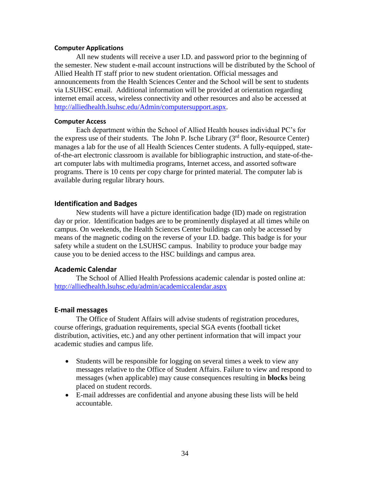#### <span id="page-34-0"></span>**Computer Applications**

All new students will receive a user I.D. and password prior to the beginning of the semester. New student e-mail account instructions will be distributed by the School of Allied Health IT staff prior to new student orientation. Official messages and announcements from the Health Sciences Center and the School will be sent to students via LSUHSC email. Additional information will be provided at orientation regarding internet email access, wireless connectivity and other resources and also be accessed at [http://alliedhealth.lsuhsc.edu/Admin/computersupport.aspx.](http://alliedhealth.lsuhsc.edu/Admin/computersupport.aspx)

#### <span id="page-34-1"></span>**Computer Access**

Each department within the School of Allied Health houses individual PC's for the express use of their students. The John P. Ische Library  $(3<sup>rd</sup>$  floor, Resource Center) manages a lab for the use of all Health Sciences Center students. A fully-equipped, stateof-the-art electronic classroom is available for bibliographic instruction, and state-of-theart computer labs with multimedia programs, Internet access, and assorted software programs. There is 10 cents per copy charge for printed material. The computer lab is available during regular library hours.

# <span id="page-34-2"></span>**Identification and Badges**

New students will have a picture identification badge (ID) made on registration day or prior. Identification badges are to be prominently displayed at all times while on campus. On weekends, the Health Sciences Center buildings can only be accessed by means of the magnetic coding on the reverse of your I.D. badge. This badge is for your safety while a student on the LSUHSC campus. Inability to produce your badge may cause you to be denied access to the HSC buildings and campus area.

### <span id="page-34-3"></span>**Academic Calendar**

The School of Allied Health Professions academic calendar is posted online at: <http://alliedhealth.lsuhsc.edu/admin/academiccalendar.aspx>

### <span id="page-34-4"></span>**E-mail messages**

The Office of Student Affairs will advise students of registration procedures, course offerings, graduation requirements, special SGA events (football ticket distribution, activities, etc.) and any other pertinent information that will impact your academic studies and campus life.

- Students will be responsible for logging on several times a week to view any messages relative to the Office of Student Affairs. Failure to view and respond to messages (when applicable) may cause consequences resulting in **blocks** being placed on student records.
- E-mail addresses are confidential and anyone abusing these lists will be held accountable.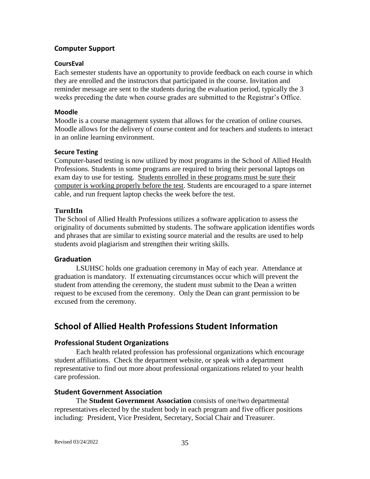# <span id="page-35-0"></span>**Computer Support**

#### <span id="page-35-1"></span>**CoursEval**

Each semester students have an opportunity to provide feedback on each course in which they are enrolled and the instructors that participated in the course. Invitation and reminder message are sent to the students during the evaluation period, typically the 3 weeks preceding the date when course grades are submitted to the Registrar's Office.

#### <span id="page-35-2"></span>**Moodle**

Moodle is a course management system that allows for the creation of online courses. Moodle allows for the delivery of course content and for teachers and students to interact in an online learning environment.

#### <span id="page-35-3"></span>**Secure Testing**

Computer-based testing is now utilized by most programs in the School of Allied Health Professions. Students in some programs are required to bring their personal laptops on exam day to use for testing. Students enrolled in these programs must be sure their computer is working properly before the test. Students are encouraged to a spare internet cable, and run frequent laptop checks the week before the test.

### **TurnItIn**

The School of Allied Health Professions utilizes a software application to assess the originality of documents submitted by students. The software application identifies words and phrases that are similar to existing source material and the results are used to help students avoid plagiarism and strengthen their writing skills.

### <span id="page-35-4"></span>**Graduation**

LSUHSC holds one graduation ceremony in May of each year. Attendance at graduation is mandatory. If extenuating circumstances occur which will prevent the student from attending the ceremony, the student must submit to the Dean a written request to be excused from the ceremony. Only the Dean can grant permission to be excused from the ceremony.

# <span id="page-35-5"></span>**School of Allied Health Professions Student Information**

### <span id="page-35-6"></span>**Professional Student Organizations**

Each health related profession has professional organizations which encourage student affiliations. Check the department website, or speak with a department representative to find out more about professional organizations related to your health care profession.

### <span id="page-35-7"></span>**Student Government Association**

The **Student Government Association** consists of one/two departmental representatives elected by the student body in each program and five officer positions including: President, Vice President, Secretary, Social Chair and Treasurer.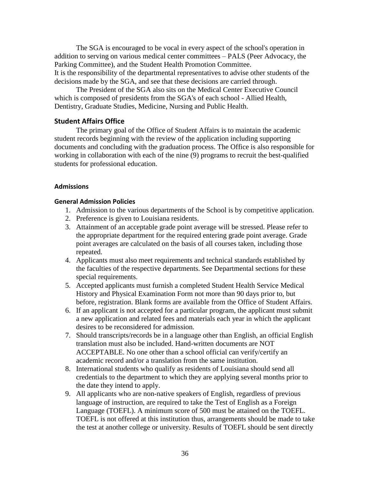The SGA is encouraged to be vocal in every aspect of the school's operation in addition to serving on various medical center committees – PALS (Peer Advocacy, the Parking Committee), and the Student Health Promotion Committee. It is the responsibility of the departmental representatives to advise other students of the decisions made by the SGA, and see that these decisions are carried through.

The President of the SGA also sits on the Medical Center Executive Council which is composed of presidents from the SGA's of each school - Allied Health, Dentistry, Graduate Studies, Medicine, Nursing and Public Health.

### <span id="page-36-0"></span>**Student Affairs Office**

The primary goal of the Office of Student Affairs is to maintain the academic student records beginning with the review of the application including supporting documents and concluding with the graduation process. The Office is also responsible for working in collaboration with each of the nine (9) programs to recruit the best-qualified students for professional education.

#### <span id="page-36-1"></span>**Admissions**

#### **General Admission Policies**

- 1. Admission to the various departments of the School is by competitive application.
- 2. Preference is given to Louisiana residents.
- 3. Attainment of an acceptable grade point average will be stressed. Please refer to the appropriate department for the required entering grade point average. Grade point averages are calculated on the basis of all courses taken, including those repeated.
- 4. Applicants must also meet requirements and technical standards established by the faculties of the respective departments. See Departmental sections for these special requirements.
- 5. Accepted applicants must furnish a completed Student Health Service Medical History and Physical Examination Form not more than 90 days prior to, but before, registration. Blank forms are available from the Office of Student Affairs.
- 6. If an applicant is not accepted for a particular program, the applicant must submit a new application and related fees and materials each year in which the applicant desires to be reconsidered for admission.
- 7. Should transcripts/records be in a language other than English, an official English translation must also be included. Hand-written documents are NOT ACCEPTABLE. No one other than a school official can verify/certify an academic record and/or a translation from the same institution.
- 8. International students who qualify as residents of Louisiana should send all credentials to the department to which they are applying several months prior to the date they intend to apply.
- 9. All applicants who are non-native speakers of English, regardless of previous language of instruction, are required to take the Test of English as a Foreign Language (TOEFL). A minimum score of 500 must be attained on the TOEFL. TOEFL is not offered at this institution thus, arrangements should be made to take the test at another college or university. Results of TOEFL should be sent directly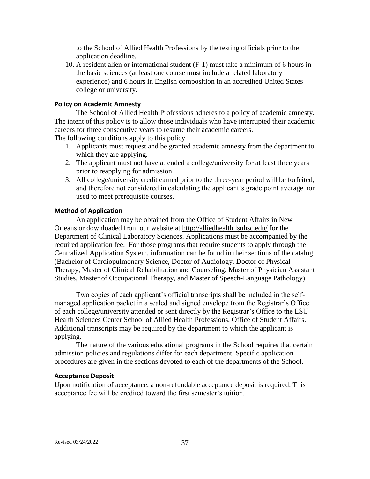to the School of Allied Health Professions by the testing officials prior to the application deadline.

10. A resident alien or international student (F-1) must take a minimum of 6 hours in the basic sciences (at least one course must include a related laboratory experience) and 6 hours in English composition in an accredited United States college or university.

#### **Policy on Academic Amnesty**

The School of Allied Health Professions adheres to a policy of academic amnesty. The intent of this policy is to allow those individuals who have interrupted their academic careers for three consecutive years to resume their academic careers.

The following conditions apply to this policy.

- 1. Applicants must request and be granted academic amnesty from the department to which they are applying.
- 2. The applicant must not have attended a college/university for at least three years prior to reapplying for admission.
- 3. All college/university credit earned prior to the three-year period will be forfeited, and therefore not considered in calculating the applicant's grade point average nor used to meet prerequisite courses.

#### **Method of Application**

An application may be obtained from the Office of Student Affairs in New Orleans or downloaded from our website at<http://alliedhealth.lsuhsc.edu/> for the Department of Clinical Laboratory Sciences. Applications must be accompanied by the required application fee. For those programs that require students to apply through the Centralized Application System, information can be found in their sections of the catalog (Bachelor of Cardiopulmonary Science, Doctor of Audiology, Doctor of Physical Therapy, Master of Clinical Rehabilitation and Counseling, Master of Physician Assistant Studies, Master of Occupational Therapy, and Master of Speech-Language Pathology).

Two copies of each applicant's official transcripts shall be included in the selfmanaged application packet in a sealed and signed envelope from the Registrar's Office of each college/university attended or sent directly by the Registrar's Office to the LSU Health Sciences Center School of Allied Health Professions, Office of Student Affairs. Additional transcripts may be required by the department to which the applicant is applying.

The nature of the various educational programs in the School requires that certain admission policies and regulations differ for each department. Specific application procedures are given in the sections devoted to each of the departments of the School.

#### **Acceptance Deposit**

Upon notification of acceptance, a non-refundable acceptance deposit is required. This acceptance fee will be credited toward the first semester's tuition.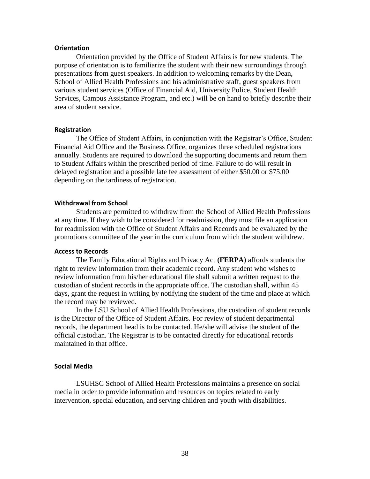#### <span id="page-38-0"></span>**Orientation**

Orientation provided by the Office of Student Affairs is for new students. The purpose of orientation is to familiarize the student with their new surroundings through presentations from guest speakers. In addition to welcoming remarks by the Dean, School of Allied Health Professions and his administrative staff, guest speakers from various student services (Office of Financial Aid, University Police, Student Health Services, Campus Assistance Program, and etc.) will be on hand to briefly describe their area of student service.

#### <span id="page-38-1"></span>**Registration**

The Office of Student Affairs, in conjunction with the Registrar's Office, Student Financial Aid Office and the Business Office, organizes three scheduled registrations annually. Students are required to download the supporting documents and return them to Student Affairs within the prescribed period of time. Failure to do will result in delayed registration and a possible late fee assessment of either \$50.00 or \$75.00 depending on the tardiness of registration.

#### <span id="page-38-2"></span>**Withdrawal from School**

Students are permitted to withdraw from the School of Allied Health Professions at any time. If they wish to be considered for readmission, they must file an application for readmission with the Office of Student Affairs and Records and be evaluated by the promotions committee of the year in the curriculum from which the student withdrew.

#### <span id="page-38-3"></span>**Access to Records**

The Family Educational Rights and Privacy Act **(FERPA)** affords students the right to review information from their academic record. Any student who wishes to review information from his/her educational file shall submit a written request to the custodian of student records in the appropriate office. The custodian shall, within 45 days, grant the request in writing by notifying the student of the time and place at which the record may be reviewed.

In the LSU School of Allied Health Professions, the custodian of student records is the Director of the Office of Student Affairs. For review of student departmental records, the department head is to be contacted. He/she will advise the student of the official custodian. The Registrar is to be contacted directly for educational records maintained in that office.

#### <span id="page-38-4"></span>**Social Media**

LSUHSC School of Allied Health Professions maintains a presence on social media in order to provide information and resources on topics related to early intervention, special education, and serving children and youth with disabilities.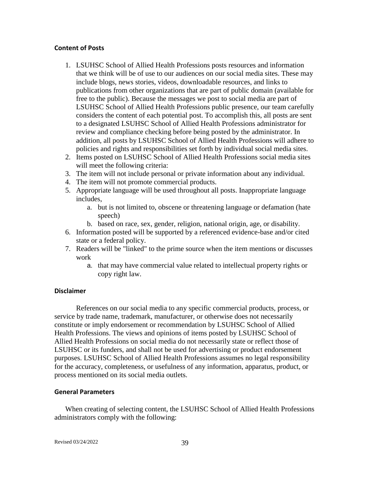#### **Content of Posts**

- 1. LSUHSC School of Allied Health Professions posts resources and information that we think will be of use to our audiences on our social media sites. These may include blogs, news stories, videos, downloadable resources, and links to publications from other organizations that are part of public domain (available for free to the public). Because the messages we post to social media are part of LSUHSC School of Allied Health Professions public presence, our team carefully considers the content of each potential post. To accomplish this, all posts are sent to a designated LSUHSC School of Allied Health Professions administrator for review and compliance checking before being posted by the administrator. In addition, all posts by LSUHSC School of Allied Health Professions will adhere to policies and rights and responsibilities set forth by individual social media sites.
- 2. Items posted on LSUHSC School of Allied Health Professions social media sites will meet the following criteria:
- 3. The item will not include personal or private information about any individual.
- 4. The item will not promote commercial products.
- 5. Appropriate language will be used throughout all posts. Inappropriate language includes,
	- a. but is not limited to, obscene or threatening language or defamation (hate speech)
	- b. based on race, sex, gender, religion, national origin, age, or disability.
- 6. Information posted will be supported by a referenced evidence-base and/or cited state or a federal policy.
- 7. Readers will be "linked" to the prime source when the item mentions or discusses work
	- a. that may have commercial value related to intellectual property rights or copy right law.

#### **Disclaimer**

References on our social media to any specific commercial products, process, or service by trade name, trademark, manufacturer, or otherwise does not necessarily constitute or imply endorsement or recommendation by LSUHSC School of Allied Health Professions. The views and opinions of items posted by LSUHSC School of Allied Health Professions on social media do not necessarily state or reflect those of LSUHSC or its funders, and shall not be used for advertising or product endorsement purposes. LSUHSC School of Allied Health Professions assumes no legal responsibility for the accuracy, completeness, or usefulness of any information, apparatus, product, or process mentioned on its social media outlets.

#### **General Parameters**

When creating of selecting content, the LSUHSC School of Allied Health Professions administrators comply with the following: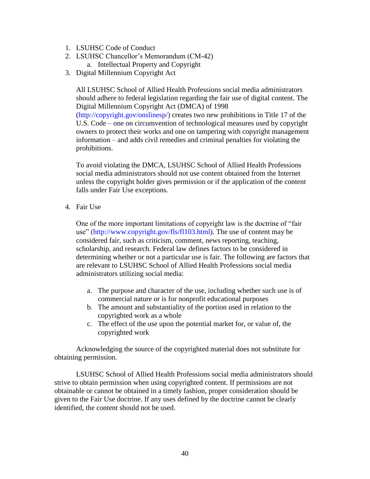- 1. LSUHSC Code of Conduct
- 2. LSUHSC Chancellor's Memorandum (CM-42) a. Intellectual Property and Copyright
- 3. Digital Millennium Copyright Act

All LSUHSC School of Allied Health Professions social media administrators should adhere to federal legislation regarding the fair use of digital content. The Digital Millennium Copyright Act (DMCA) of 1998

(http://copyright.gov/onslinesp/) creates two new prohibitions in Title 17 of the U.S. Code – one on circumvention of technological measures used by copyright owners to protect their works and one on tampering with copyright management information – and adds civil remedies and criminal penalties for violating the prohibitions.

To avoid violating the DMCA, LSUHSC School of Allied Health Professions social media administrators should not use content obtained from the Internet unless the copyright holder gives permission or if the application of the content falls under Fair Use exceptions.

4. Fair Use

One of the more important limitations of copyright law is the doctrine of "fair use" (http://www.copyright.gov/fls/fl103.html). The use of content may be considered fair, such as criticism, comment, news reporting, teaching, scholarship, and research. Federal law defines factors to be considered in determining whether or not a particular use is fair. The following are factors that are relevant to LSUHSC School of Allied Health Professions social media administrators utilizing social media:

- a. The purpose and character of the use, including whether such use is of commercial nature or is for nonprofit educational purposes
- b. The amount and substantiality of the portion used in relation to the copyrighted work as a whole
- c. The effect of the use upon the potential market for, or value of, the copyrighted work

Acknowledging the source of the copyrighted material does not substitute for obtaining permission.

LSUHSC School of Allied Health Professions social media administrators should strive to obtain permission when using copyrighted content. If permissions are not obtainable or cannot be obtained in a timely fashion, proper consideration should be given to the Fair Use doctrine. If any uses defined by the doctrine cannot be clearly identified, the content should not be used.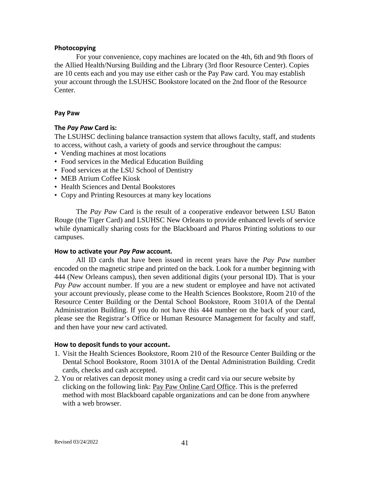#### <span id="page-41-0"></span>**Photocopying**

For your convenience, copy machines are located on the 4th, 6th and 9th floors of the Allied Health/Nursing Building and the Library (3rd floor Resource Center). Copies are 10 cents each and you may use either cash or the Pay Paw card. You may establish your account through the LSUHSC Bookstore located on the 2nd floor of the Resource Center.

#### <span id="page-41-1"></span>**Pay Paw**

#### **The** *Pay Paw* **Card is:**

The LSUHSC declining balance transaction system that allows faculty, staff, and students to access, without cash, a variety of goods and service throughout the campus:

- Vending machines at most locations
- Food services in the Medical Education Building
- Food services at the LSU School of Dentistry
- MEB Atrium Coffee Kiosk
- Health Sciences and Dental Bookstores
- Copy and Printing Resources at many key locations

The *Pay Paw* Card is the result of a cooperative endeavor between LSU Baton Rouge (the Tiger Card) and LSUHSC New Orleans to provide enhanced levels of service while dynamically sharing costs for the Blackboard and Pharos Printing solutions to our campuses.

#### **How to activate your** *Pay Paw* **account.**

All ID cards that have been issued in recent years have the *Pay Paw* number encoded on the magnetic stripe and printed on the back. Look for a number beginning with 444 (New Orleans campus), then seven additional digits (your personal ID). That is your *Pay Paw* account number. If you are a new student or employee and have not activated your account previously, please come to the Health Sciences Bookstore, Room 210 of the Resource Center Building or the Dental School Bookstore, Room 3101A of the Dental Administration Building. If you do not have this 444 number on the back of your card, please see the Registrar's Office or Human Resource Management for faculty and staff, and then have your new card activated.

#### **How to deposit funds to your account.**

- 1. Visit the Health Sciences Bookstore, Room 210 of the Resource Center Building or the Dental School Bookstore, Room 3101A of the Dental Administration Building. Credit cards, checks and cash accepted.
- 2. You or relatives can deposit money using a credit card via our secure website by clicking on the following link: [Pay Paw Online Card Office.](https://services.jsatech.com/index.php?cid=122) This is the preferred method with most Blackboard capable organizations and can be done from anywhere with a web browser.